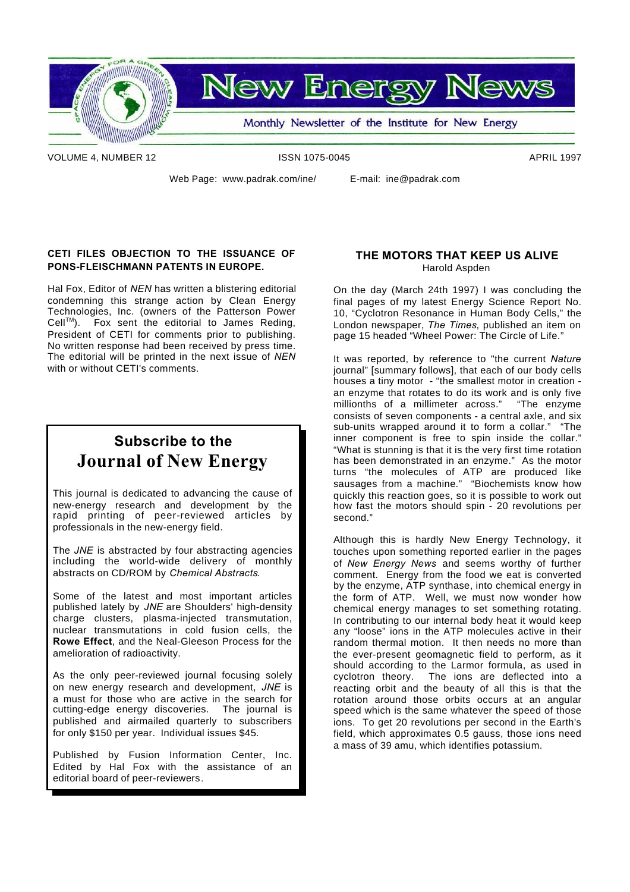

VOLUME 4, NUMBER 12 **ISSN 1075-0045** APRIL 1997

Web Page: www.padrak.com/ine/ E-mail: ine@padrak.com

# **CETI FILES OBJECTION TO THE ISSUANCE OF PONS-FLEISCHMANN PATENTS IN EUROPE.**

Hal Fox, Editor of *NEN* has written a blistering editorial condemning this strange action by Clean Energy Technologies, Inc. (owners of the Patterson Power  $Cell^{TM}$ ). Fox sent the editorial to James Reding, President of CETI for comments prior to publishing. No written response had been received by press time. The editorial will be printed in the next issue of *NEN* with or without CETI's comments.

# **Subscribe to the Journal of New Energy**

This journal is dedicated to advancing the cause of new-energy research and development by the rapid printing of peer-reviewed articles by professionals in the new-energy field.

The *JNE* is abstracted by four abstracting agencies including the world-wide delivery of monthly abstracts on CD/ROM by *Chemical Abstracts*.

Some of the latest and most important articles published lately by *JNE* are Shoulders' high-density charge clusters, plasma-injected transmutation, nuclear transmutations in cold fusion cells, the **Rowe Effect**, and the Neal-Gleeson Process for the amelioration of radioactivity.

As the only peer-reviewed journal focusing solely on new energy research and development, *JNE* is a must for those who are active in the search for cutting-edge energy discoveries. The journal is published and airmailed quarterly to subscribers for only \$150 per year. Individual issues \$45.

Published by Fusion Information Center, Inc. Edited by Hal Fox with the assistance of an editorial board of peer-reviewers.

# **THE MOTORS THAT KEEP US ALIVE** Harold Aspden

On the day (March 24th 1997) I was concluding the final pages of my latest Energy Science Report No. 10, "Cyclotron Resonance in Human Body Cells," the London newspaper, *The Times*, published an item on page 15 headed "Wheel Power: The Circle of Life."

It was reported, by reference to "the current *Nature* journal" [summary follows], that each of our body cells houses a tiny motor - "the smallest motor in creation an enzyme that rotates to do its work and is only five millionths of a millimeter across." "The enzyme millionths of a millimeter across." consists of seven components - a central axle, and six sub-units wrapped around it to form a collar." "The inner component is free to spin inside the collar." "What is stunning is that it is the very first time rotation has been demonstrated in an enzyme." As the motor turns "the molecules of ATP are produced like sausages from a machine." "Biochemists know how quickly this reaction goes, so it is possible to work out how fast the motors should spin - 20 revolutions per second."

Although this is hardly New Energy Technology, it touches upon something reported earlier in the pages of *New Energy News* and seems worthy of further comment. Energy from the food we eat is converted by the enzyme, ATP synthase, into chemical energy in the form of ATP. Well, we must now wonder how chemical energy manages to set something rotating. In contributing to our internal body heat it would keep any "loose" ions in the ATP molecules active in their random thermal motion. It then needs no more than the ever-present geomagnetic field to perform, as it should according to the Larmor formula, as used in cyclotron theory. The ions are deflected into a reacting orbit and the beauty of all this is that the rotation around those orbits occurs at an angular speed which is the same whatever the speed of those ions. To get 20 revolutions per second in the Earth's field, which approximates 0.5 gauss, those ions need a mass of 39 amu, which identifies potassium.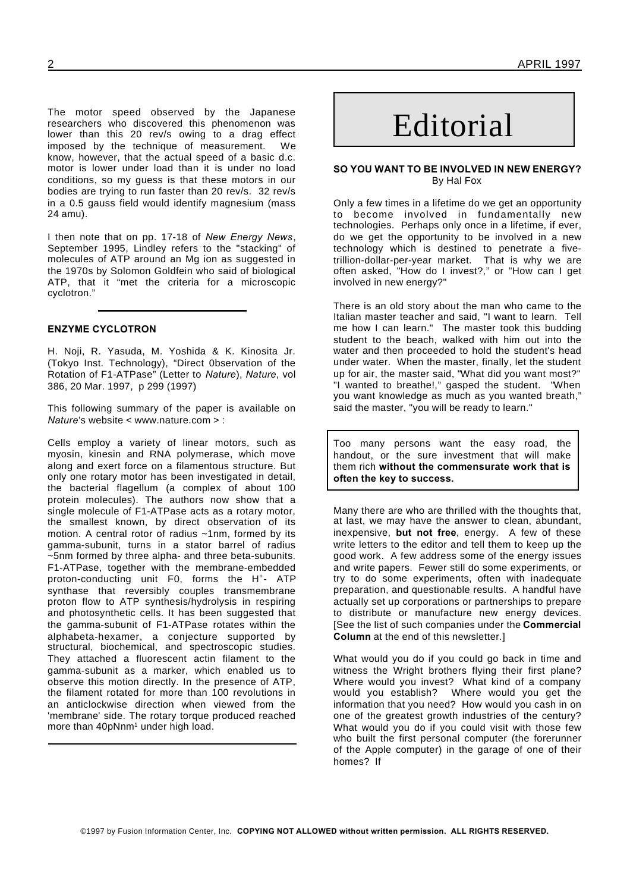The motor speed observed by the Japanese researchers who discovered this phenomenon was lower than this 20 rev/s owing to a drag effect imposed by the technique of measurement. We know, however, that the actual speed of a basic d.c. motor is lower under load than it is under no load conditions, so my guess is that these motors in our bodies are trying to run faster than 20 rev/s. 32 rev/s in a 0.5 gauss field would identify magnesium (mass 24 amu).

I then note that on pp. 17-18 of *New Energy News*, September 1995, Lindley refers to the "stacking" of molecules of ATP around an Mg ion as suggested in the 1970s by Solomon Goldfein who said of biological ATP, that it "met the criteria for a microscopic cyclotron."

# **ENZYME CYCLOTRON**

H. Noji, R. Yasuda, M. Yoshida & K. Kinosita Jr. (Tokyo Inst. Technology), "Direct 0bservation of the Rotation of F1-ATPase" (Letter to *Nature*), *Nature*, vol 386, 20 Mar. 1997, p 299 (1997)

This following summary of the paper is available on *Nature*'s website < www.nature.com > :

Cells employ a variety of linear motors, such as myosin, kinesin and RNA polymerase, which move along and exert force on a filamentous structure. But only one rotary motor has been investigated in detail, the bacterial flagellum (a complex of about 100 protein molecules). The authors now show that a single molecule of F1-ATPase acts as a rotary motor, the smallest known, by direct observation of its motion. A central rotor of radius ~1nm, formed by its gamma-subunit, turns in a stator barrel of radius ~5nm formed by three alpha- and three beta-subunits. F1-ATPase, together with the membrane-embedded proton-conducting unit F0, forms the H<sup>+</sup>- ATP synthase that reversibly couples transmembrane proton flow to ATP synthesis/hydrolysis in respiring and photosynthetic cells. It has been suggested that the gamma-subunit of F1-ATPase rotates within the alphabeta-hexamer, a conjecture supported by structural, biochemical, and spectroscopic studies. They attached a fluorescent actin filament to the gamma-subunit as a marker, which enabled us to observe this motion directly. In the presence of ATP, the filament rotated for more than 100 revolutions in an anticlockwise direction when viewed from the 'membrane' side. The rotary torque produced reached more than 40pNnm<sup>1</sup> under high load.

# 2 APRIL 1997

# Editorial

# **SO YOU WANT TO BE INVOLVED IN NEW ENERGY?** By Hal Fox

Only a few times in a lifetime do we get an opportunity to become involved in fundamentally new technologies. Perhaps only once in a lifetime, if ever, do we get the opportunity to be involved in a new technology which is destined to penetrate a fivetrillion-dollar-per-year market. That is why we are often asked, "How do I invest?," or "How can I get involved in new energy?"

There is an old story about the man who came to the Italian master teacher and said, "I want to learn. Tell me how I can learn." The master took this budding student to the beach, walked with him out into the water and then proceeded to hold the student's head under water. When the master, finally, let the student up for air, the master said, "What did you want most?" "I wanted to breathe!," gasped the student. "When you want knowledge as much as you wanted breath," said the master, "you will be ready to learn."

Too many persons want the easy road, the handout, or the sure investment that will make them rich **without the commensurate work that is often the key to success.**

Many there are who are thrilled with the thoughts that, at last, we may have the answer to clean, abundant, inexpensive, **but not free**, energy. A few of these write letters to the editor and tell them to keep up the good work. A few address some of the energy issues and write papers. Fewer still do some experiments, or try to do some experiments, often with inadequate preparation, and questionable results. A handful have actually set up corporations or partnerships to prepare to distribute or manufacture new energy devices. [See the list of such companies under the **Commercial Column** at the end of this newsletter.]

What would you do if you could go back in time and witness the Wright brothers flying their first plane? Where would you invest? What kind of a company<br>would you establish? Where would you get the Where would you get the information that you need? How would you cash in on one of the greatest growth industries of the century? What would you do if you could visit with those few who built the first personal computer (the forerunner of the Apple computer) in the garage of one of their homes? If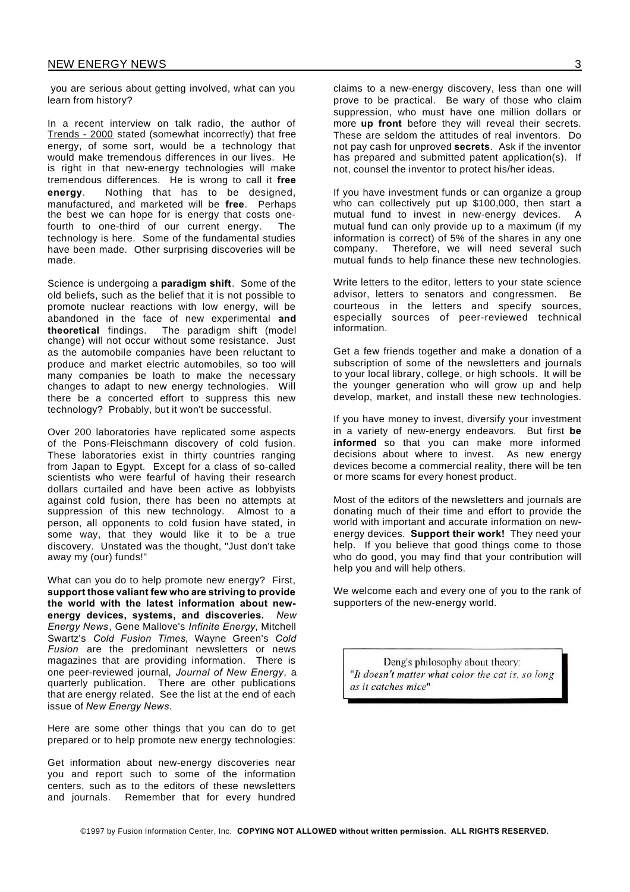you are serious about getting involved, what can you learn from history?

In a recent interview on talk radio, the author of Trends - 2000 stated (somewhat incorrectly) that free energy, of some sort, would be a technology that would make tremendous differences in our lives. He is right in that new-energy technologies will make tremendous differences. He is wrong to call it **free energy**. Nothing that has to be designed, manufactured, and marketed will be **free**. Perhaps the best we can hope for is energy that costs onefourth to one-third of our current energy. The technology is here. Some of the fundamental studies have been made. Other surprising discoveries will be made.

Science is undergoing a **paradigm shift**. Some of the old beliefs, such as the belief that it is not possible to promote nuclear reactions with low energy, will be abandoned in the face of new experimental **and theoretical** findings. The paradigm shift (model change) will not occur without some resistance. Just as the automobile companies have been reluctant to produce and market electric automobiles, so too will many companies be loath to make the necessary changes to adapt to new energy technologies. Will there be a concerted effort to suppress this new technology? Probably, but it won't be successful.

Over 200 laboratories have replicated some aspects of the Pons-Fleischmann discovery of cold fusion. These laboratories exist in thirty countries ranging from Japan to Egypt. Except for a class of so-called scientists who were fearful of having their research dollars curtailed and have been active as lobbyists against cold fusion, there has been no attempts at suppression of this new technology. Almost to a person, all opponents to cold fusion have stated, in some way, that they would like it to be a true discovery. Unstated was the thought, "Just don't take away my (our) funds!"

What can you do to help promote new energy? First, **support those valiant few who are striving to provide the world with the latest information about newenergy devices, systems, and discoveries.** *New Energy News*, Gene Mallove's *Infinite Energy*, Mitchell Swartz's *Cold Fusion Times*, Wayne Green's *Cold Fusion* are the predominant newsletters or news magazines that are providing information. There is one peer-reviewed journal, *Journal of New Energy*, a quarterly publication. There are other publications that are energy related. See the list at the end of each issue of *New Energy News*.

Here are some other things that you can do to get prepared or to help promote new energy technologies:

Get information about new-energy discoveries near you and report such to some of the information centers, such as to the editors of these newsletters and journals. Remember that for every hundred

claims to a new-energy discovery, less than one will prove to be practical. Be wary of those who claim suppression, who must have one million dollars or more **up front** before they will reveal their secrets. These are seldom the attitudes of real inventors. Do not pay cash for unproved **secrets**. Ask if the inventor has prepared and submitted patent application(s). If not, counsel the inventor to protect his/her ideas.

If you have investment funds or can organize a group who can collectively put up \$100,000, then start a mutual fund to invest in new-energy devices. A mutual fund can only provide up to a maximum (if my information is correct) of 5% of the shares in any one company. Therefore, we will need several such mutual funds to help finance these new technologies.

Write letters to the editor, letters to your state science advisor, letters to senators and congressmen. Be courteous in the letters and specify sources, especially sources of peer-reviewed technical information.

Get a few friends together and make a donation of a subscription of some of the newsletters and journals to your local library, college, or high schools. It will be the younger generation who will grow up and help develop, market, and install these new technologies.

If you have money to invest, diversify your investment in a variety of new-energy endeavors. But first **be informed** so that you can make more informed decisions about where to invest. As new energy devices become a commercial reality, there will be ten or more scams for every honest product.

Most of the editors of the newsletters and journals are donating much of their time and effort to provide the world with important and accurate information on newenergy devices. **Support their work!** They need your help. If you believe that good things come to those who do good, you may find that your contribution will help you and will help others.

We welcome each and every one of you to the rank of supporters of the new-energy world.

Deng's philosophy about theory: "It doesn't matter what color the cat is, so long as it catches mice"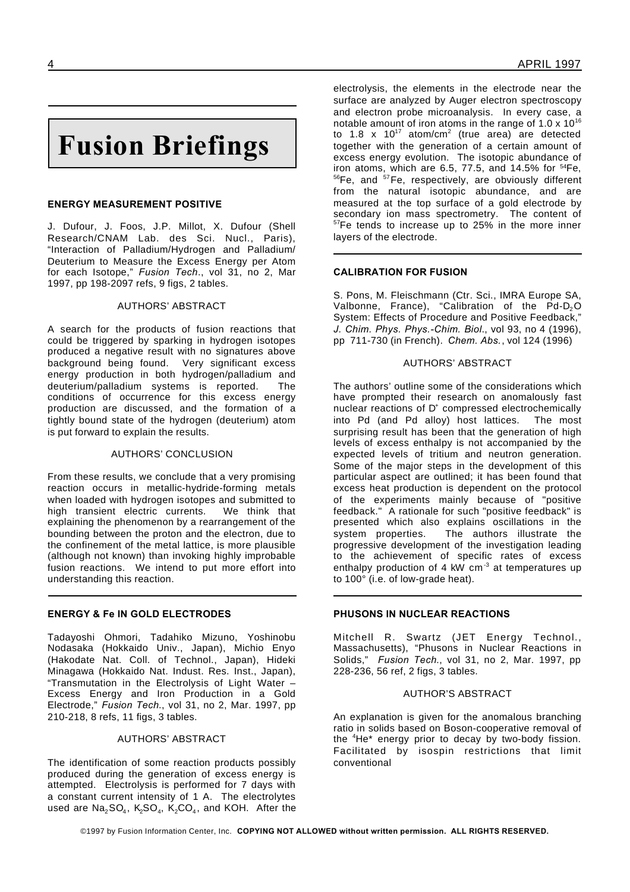# **Fusion Briefings**

# **ENERGY MEASUREMENT POSITIVE**

J. Dufour, J. Foos, J.P. Millot, X. Dufour (Shell Research/CNAM Lab. des Sci. Nucl., Paris), "Interaction of Palladium/Hydrogen and Palladium/ Deuterium to Measure the Excess Energy per Atom for each Isotope," *Fusion Tech*., vol 31, no 2, Mar 1997, pp 198-2097 refs, 9 figs, 2 tables.

# AUTHORS' ABSTRACT

A search for the products of fusion reactions that could be triggered by sparking in hydrogen isotopes produced a negative result with no signatures above background being found. Very significant excess energy production in both hydrogen/palladium and deuterium/palladium systems is reported. The conditions of occurrence for this excess energy production are discussed, and the formation of a tightly bound state of the hydrogen (deuterium) atom is put forward to explain the results.

# AUTHORS' CONCLUSION

From these results, we conclude that a very promising reaction occurs in metallic-hydride-forming metals when loaded with hydrogen isotopes and submitted to high transient electric currents. We think that explaining the phenomenon by a rearrangement of the bounding between the proton and the electron, due to the confinement of the metal lattice, is more plausible (although not known) than invoking highly improbable fusion reactions. We intend to put more effort into understanding this reaction.

# **ENERGY & Fe IN GOLD ELECTRODES**

Tadayoshi Ohmori, Tadahiko Mizuno, Yoshinobu Nodasaka (Hokkaido Univ., Japan), Michio Enyo (Hakodate Nat. Coll. of Technol., Japan), Hideki Minagawa (Hokkaido Nat. Indust. Res. Inst., Japan), "Transmutation in the Electrolysis of Light Water – Excess Energy and Iron Production in a Gold Electrode," *Fusion Tech*., vol 31, no 2, Mar. 1997, pp 210-218, 8 refs, 11 figs, 3 tables.

# AUTHORS' ABSTRACT

The identification of some reaction products possibly produced during the generation of excess energy is attempted. Electrolysis is performed for 7 days with a constant current intensity of 1 A. The electrolytes used are  $\mathsf{Na}_2\mathsf{SO}_4,\ \mathsf{K}_2\mathsf{SO}_4,\ \mathsf{K}_2\mathsf{CO}_4,$  and KOH. After the electrolysis, the elements in the electrode near the surface are analyzed by Auger electron spectroscopy and electron probe microanalysis. In every case, a notable amount of iron atoms in the range of  $1.0 \times 10^{16}$ to 1.8 x 10<sup>17</sup> atom/cm<sup>2</sup> (true area) are detected together with the generation of a certain amount of excess energy evolution. The isotopic abundance of iron atoms, which are 6.5, 77.5, and 14.5% for  $54Fe$ , 56Fe, and <sup>57</sup>Fe, respectively, are obviously different from the natural isotopic abundance, and are measured at the top surface of a gold electrode by secondary ion mass spectrometry. The content of <sup>57</sup>Fe tends to increase up to 25% in the more inner layers of the electrode.

# **CALIBRATION FOR FUSION**

S. Pons, M. Fleischmann (Ctr. Sci., IMRA Europe SA, Valbonne, France), "Calibration of the  $Pd-D<sub>2</sub>O$ System: Effects of Procedure and Positive Feedback," *J. Chim. Phys. Phys.-Chim. Biol*., vol 93, no 4 (1996), pp 711-730 (in French). *Chem. Abs.*, vol 124 (1996)

# AUTHORS' ABSTRACT

The authors' outline some of the considerations which have prompted their research on anomalously fast nuclear reactions of D<sup>+</sup> compressed electrochemically into Pd (and Pd alloy) host lattices. The most surprising result has been that the generation of high levels of excess enthalpy is not accompanied by the expected levels of tritium and neutron generation. Some of the major steps in the development of this particular aspect are outlined; it has been found that excess heat production is dependent on the protocol of the experiments mainly because of "positive feedback." A rationale for such "positive feedback" is presented which also explains oscillations in the system properties. The authors illustrate the progressive development of the investigation leading to the achievement of specific rates of excess enthalpy production of 4 kW cm<sup>-3</sup> at temperatures up to 100° (i.e. of low-grade heat).

# **PHUSONS IN NUCLEAR REACTIONS**

Mitchell R. Swartz (JET Energy Technol., Massachusetts), "Phusons in Nuclear Reactions in Solids," *Fusion Tech.*, vol 31, no 2, Mar. 1997, pp 228-236, 56 ref, 2 figs, 3 tables.

# AUTHOR'S ABSTRACT

An explanation is given for the anomalous branching ratio in solids based on Boson-cooperative removal of the  $4$ He $*$  energy prior to decay by two-body fission. Facilitated by isospin restrictions that limit conventional

©1997 by Fusion Information Center, Inc. **COPYING NOT ALLOWED without written permission. ALL RIGHTS RESERVED.**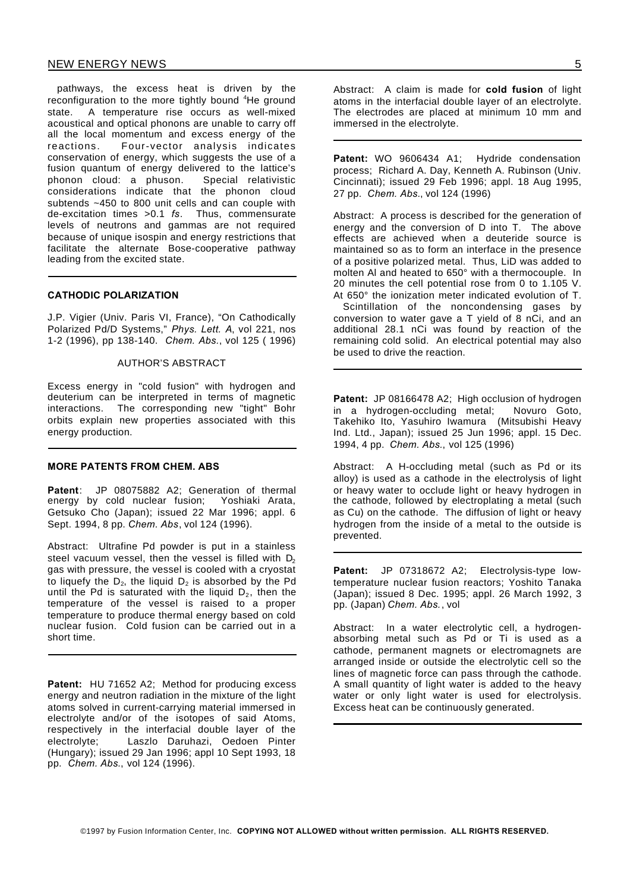pathways, the excess heat is driven by the reconfiguration to the more tightly bound <sup>4</sup>He ground state. A temperature rise occurs as well-mixed acoustical and optical phonons are unable to carry off all the local momentum and excess energy of the reactions. Four-vector analysis indicates conservation of energy, which suggests the use of a fusion quantum of energy delivered to the lattice's phonon cloud: a phuson. Special relativistic considerations indicate that the phonon cloud subtends ~450 to 800 unit cells and can couple with de-excitation times >0.1 *fs*. Thus, commensurate levels of neutrons and gammas are not required because of unique isospin and energy restrictions that facilitate the alternate Bose-cooperative pathway leading from the excited state.

# **CATHODIC POLARIZATION**

J.P. Vigier (Univ. Paris VI, France), "On Cathodically Polarized Pd/D Systems," *Phys. Lett. A*, vol 221, nos 1-2 (1996), pp 138-140. *Chem. Abs.*, vol 125 ( 1996)

#### AUTHOR'S ABSTRACT

Excess energy in "cold fusion" with hydrogen and deuterium can be interpreted in terms of magnetic interactions. The corresponding new "tight" Bohr orbits explain new properties associated with this energy production.

#### **MORE PATENTS FROM CHEM. ABS**

**Patent**: JP 08075882 A2; Generation of thermal energy by cold nuclear fusion; Yoshiaki Arata, Getsuko Cho (Japan); issued 22 Mar 1996; appl. 6 Sept. 1994, 8 pp. *Chem. Abs*, vol 124 (1996).

Abstract: Ultrafine Pd powder is put in a stainless steel vacuum vessel, then the vessel is filled with  $D<sub>2</sub>$ gas with pressure, the vessel is cooled with a cryostat to liquefy the  $D_2$ , the liquid  $D_2$  is absorbed by the Pd until the Pd is saturated with the liquid  $D_2$ , then the temperature of the vessel is raised to a proper temperature to produce thermal energy based on cold nuclear fusion. Cold fusion can be carried out in a short time.

Patent: HU 71652 A2; Method for producing excess energy and neutron radiation in the mixture of the light atoms solved in current-carrying material immersed in electrolyte and/or of the isotopes of said Atoms, respectively in the interfacial double layer of the electrolyte; Laszlo Daruhazi, Oedoen Pinter (Hungary); issued 29 Jan 1996; appl 10 Sept 1993, 18 pp. *Chem. Abs.*, vol 124 (1996).

Abstract: A claim is made for **cold fusion** of light atoms in the interfacial double layer of an electrolyte. The electrodes are placed at minimum 10 mm and immersed in the electrolyte.

Patent: WO 9606434 A1; Hydride condensation process; Richard A. Day, Kenneth A. Rubinson (Univ. Cincinnati); issued 29 Feb 1996; appl. 18 Aug 1995, 27 pp. *Chem. Abs.*, vol 124 (1996)

Abstract: A process is described for the generation of energy and the conversion of D into T. The above effects are achieved when a deuteride source is maintained so as to form an interface in the presence of a positive polarized metal. Thus, LiD was added to molten Al and heated to 650° with a thermocouple. In 20 minutes the cell potential rose from 0 to 1.105 V. At 650° the ionization meter indicated evolution of T.

Scintillation of the noncondensing gases by conversion to water gave a  $T$  yield of  $\overline{8}$  nCi, and an additional 28.1 nCi was found by reaction of the remaining cold solid. An electrical potential may also be used to drive the reaction.

Patent: JP 08166478 A2; High occlusion of hydrogen in a hydrogen-occluding metal; Novuro Goto, Takehiko Ito, Yasuhiro Iwamura (Mitsubishi Heavy Ind. Ltd., Japan); issued 25 Jun 1996; appl. 15 Dec. 1994, 4 pp. *Chem. Abs.*, vol 125 (1996)

Abstract: A H-occluding metal (such as Pd or its alloy) is used as a cathode in the electrolysis of light or heavy water to occlude light or heavy hydrogen in the cathode, followed by electroplating a metal (such as Cu) on the cathode. The diffusion of light or heavy hydrogen from the inside of a metal to the outside is prevented.

**Patent:** JP 07318672 A2; Electrolysis-type lowtemperature nuclear fusion reactors; Yoshito Tanaka (Japan); issued 8 Dec. 1995; appl. 26 March 1992, 3 pp. (Japan) *Chem. Abs.*, vol

Abstract: In a water electrolytic cell, a hydrogenabsorbing metal such as Pd or Ti is used as a cathode, permanent magnets or electromagnets are arranged inside or outside the electrolytic cell so the lines of magnetic force can pass through the cathode. A small quantity of light water is added to the heavy water or only light water is used for electrolysis. Excess heat can be continuously generated.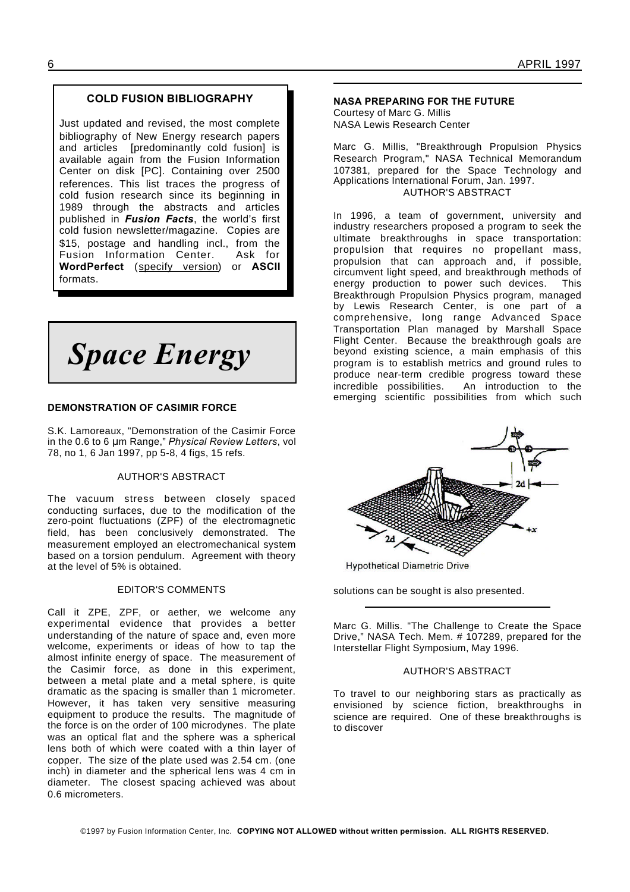# **COLD FUSION BIBLIOGRAPHY**

Just updated and revised, the most complete bibliography of New Energy research papers and articles [predominantly cold fusion] is available again from the Fusion Information Center on disk [PC]. Containing over 2500 references. This list traces the progress of cold fusion research since its beginning in 1989 through the abstracts and articles published in *Fusion Facts*, the world's first cold fusion newsletter/magazine. Copies are \$15, postage and handling incl., from the Fusion Information Center. Ask for **WordPerfect** (specify version) or **ASCII** formats.

*Space Energy*

# **DEMONSTRATION OF CASIMIR FORCE**

S.K. Lamoreaux, "Demonstration of the Casimir Force in the 0.6 to 6 µm Range," *Physical Review Letters*, vol 78, no 1, 6 Jan 1997, pp 5-8, 4 figs, 15 refs.

#### AUTHOR'S ABSTRACT

The vacuum stress between closely spaced conducting surfaces, due to the modification of the zero-point fluctuations (ZPF) of the electromagnetic field, has been conclusively demonstrated. The measurement employed an electromechanical system based on a torsion pendulum. Agreement with theory at the level of 5% is obtained.

# EDITOR'S COMMENTS

Call it ZPE, ZPF, or aether, we welcome any experimental evidence that provides a better understanding of the nature of space and, even more welcome, experiments or ideas of how to tap the almost infinite energy of space. The measurement of the Casimir force, as done in this experiment, between a metal plate and a metal sphere, is quite dramatic as the spacing is smaller than 1 micrometer. However, it has taken very sensitive measuring equipment to produce the results. The magnitude of the force is on the order of 100 microdynes. The plate was an optical flat and the sphere was a spherical lens both of which were coated with a thin layer of copper. The size of the plate used was 2.54 cm. (one inch) in diameter and the spherical lens was 4 cm in diameter. The closest spacing achieved was about 0.6 micrometers.

#### **NASA PREPARING FOR THE FUTURE**

Courtesy of Marc G. Millis NASA Lewis Research Center

Marc G. Millis, "Breakthrough Propulsion Physics Research Program," NASA Technical Memorandum 107381, prepared for the Space Technology and Applications International Forum, Jan. 1997. AUTHOR'S ABSTRACT

In 1996, a team of government, university and industry researchers proposed a program to seek the ultimate breakthroughs in space transportation: propulsion that requires no propellant mass, propulsion that can approach and, if possible, circumvent light speed, and breakthrough methods of energy production to power such devices. This Breakthrough Propulsion Physics program, managed by Lewis Research Center, is one part of a comprehensive, long range Advanced Space Transportation Plan managed by Marshall Space Flight Center. Because the breakthrough goals are beyond existing science, a main emphasis of this program is to establish metrics and ground rules to produce near-term credible progress toward these incredible possibilities. An introduction to the emerging scientific possibilities from which such



**Hypothetical Diametric Drive** 

solutions can be sought is also presented.

Marc G. Millis. "The Challenge to Create the Space Drive," NASA Tech. Mem. # 107289, prepared for the Interstellar Flight Symposium, May 1996.

# AUTHOR'S ABSTRACT

To travel to our neighboring stars as practically as envisioned by science fiction, breakthroughs in science are required. One of these breakthroughs is to discover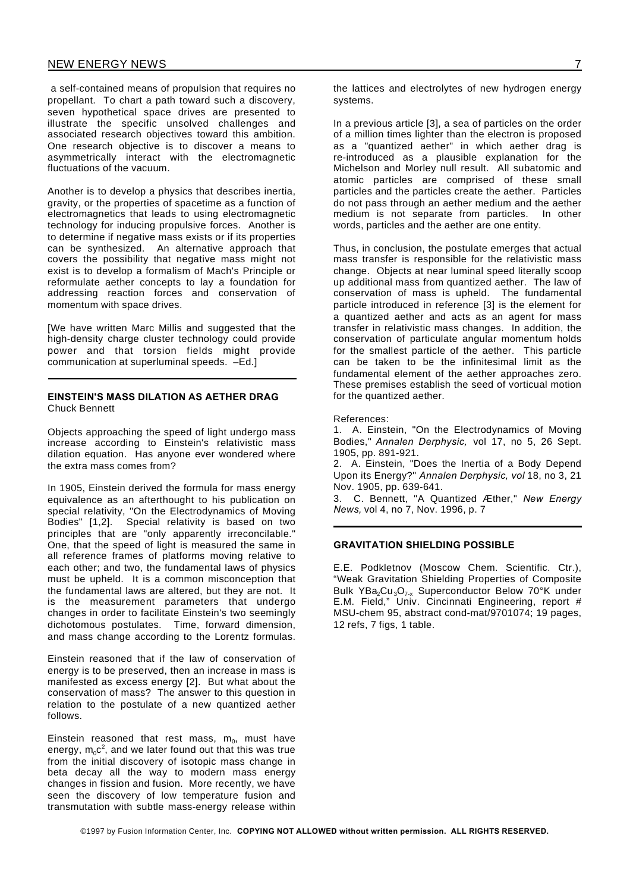a self-contained means of propulsion that requires no propellant. To chart a path toward such a discovery, seven hypothetical space drives are presented to illustrate the specific unsolved challenges and associated research objectives toward this ambition. One research objective is to discover a means to asymmetrically interact with the electromagnetic fluctuations of the vacuum.

Another is to develop a physics that describes inertia, gravity, or the properties of spacetime as a function of electromagnetics that leads to using electromagnetic technology for inducing propulsive forces. Another is to determine if negative mass exists or if its properties can be synthesized. An alternative approach that covers the possibility that negative mass might not exist is to develop a formalism of Mach's Principle or reformulate aether concepts to lay a foundation for addressing reaction forces and conservation of momentum with space drives.

[We have written Marc Millis and suggested that the high-density charge cluster technology could provide power and that torsion fields might provide communication at superluminal speeds. –Ed.]

# **EINSTEIN'S MASS DILATION AS AETHER DRAG** Chuck Bennett

Objects approaching the speed of light undergo mass increase according to Einstein's relativistic mass dilation equation. Has anyone ever wondered where the extra mass comes from?

In 1905, Einstein derived the formula for mass energy equivalence as an afterthought to his publication on special relativity, "On the Electrodynamics of Moving Bodies" [1,2]. Special relativity is based on two principles that are "only apparently irreconcilable." One, that the speed of light is measured the same in all reference frames of platforms moving relative to each other; and two, the fundamental laws of physics must be upheld. It is a common misconception that the fundamental laws are altered, but they are not. It is the measurement parameters that undergo changes in order to facilitate Einstein's two seemingly dichotomous postulates. Time, forward dimension, and mass change according to the Lorentz formulas.

Einstein reasoned that if the law of conservation of energy is to be preserved, then an increase in mass is manifested as excess energy [2]. But what about the conservation of mass? The answer to this question in relation to the postulate of a new quantized aether follows.

Einstein reasoned that rest mass,  $m_o$ , must have energy,  $\mathsf{m}_0\mathsf{c}^2$ , and we later found out that this was true from the initial discovery of isotopic mass change in beta decay all the way to modern mass energy changes in fission and fusion. More recently, we have seen the discovery of low temperature fusion and transmutation with subtle mass-energy release within

In a previous article [3], a sea of particles on the order of a million times lighter than the electron is proposed as a "quantized aether" in which aether drag is re-introduced as a plausible explanation for the Michelson and Morley null result. All subatomic and atomic particles are comprised of these small particles and the particles create the aether. Particles .<br>do not pass through an aether medium and the aether medium is not separate from particles. In other words, particles and the aether are one entity.

Thus, in conclusion, the postulate emerges that actual mass transfer is responsible for the relativistic mass change. Objects at near luminal speed literally scoop up additional mass from quantized aether. The law of conservation of mass is upheld. The fundamental particle introduced in reference [3] is the element for a quantized aether and acts as an agent for mass transfer in relativistic mass changes. In addition, the conservation of particulate angular momentum holds for the smallest particle of the aether. This particle can be taken to be the infinitesimal limit as the fundamental element of the aether approaches zero. These premises establish the seed of vorticual motion for the quantized aether.

References:

1. A. Einstein, "On the Electrodynamics of Moving Bodies," *Annalen Derphysic,* vol 17, no 5, 26 Sept. 1905, pp. 891-921.

2. A. Einstein, "Does the Inertia of a Body Depend Upon its Energy?" *Annalen Derphysic, vol* 18, no 3, 21 Nov. 1905, pp. 639-641.

3. C. Bennett, "A Quantized Æther," *New Energy News,* vol 4, no 7, Nov. 1996, p. 7

# **GRAVITATION SHIELDING POSSIBLE**

E.E. Podkletnov (Moscow Chem. Scientific. Ctr.), "Weak Gravitation Shielding Properties of Composite Bulk YBa<sub>2</sub>Cu<sub>3</sub>O<sub>7-x</sub> Superconductor Below 70°K under E.M. Field," Univ. Cincinnati Engineering, report # MSU-chem 95, abstract cond-mat/9701074; 19 pages, 12 refs, 7 figs, 1 table.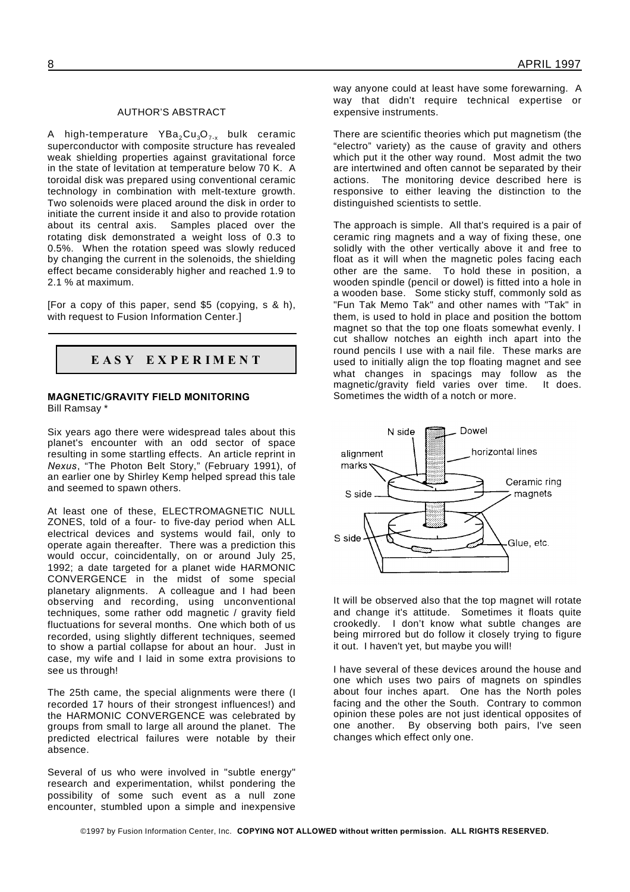# AUTHOR'S ABSTRACT

A high-temperature  $YBa_2Cu_3O_{7-x}$  bulk ceramic superconductor with composite structure has revealed weak shielding properties against gravitational force in the state of levitation at temperature below 70 K. A toroidal disk was prepared using conventional ceramic technology in combination with melt-texture growth. Two solenoids were placed around the disk in order to initiate the current inside it and also to provide rotation about its central axis. Samples placed over the rotating disk demonstrated a weight loss of 0.3 to 0.5%. When the rotation speed was slowly reduced by changing the current in the solenoids, the shielding effect became considerably higher and reached 1.9 to 2.1 % at maximum.

[For a copy of this paper, send \$5 (copying, s & h), with request to Fusion Information Center.]

# **E A S Y E X P E R I M E N T**

### **MAGNETIC/GRAVITY FIELD MONITORING** Bill Ramsay \*

Six years ago there were widespread tales about this planet's encounter with an odd sector of space resulting in some startling effects. An article reprint in *Nexus*, "The Photon Belt Story," (February 1991), of an earlier one by Shirley Kemp helped spread this tale and seemed to spawn others.

At least one of these, ELECTROMAGNETIC NULL ZONES, told of a four- to five-day period when ALL electrical devices and systems would fail, only to operate again thereafter. There was a prediction this would occur, coincidentally, on or around July 25, 1992; a date targeted for a planet wide HARMONIC CONVERGENCE in the midst of some special planetary alignments. A colleague and I had been observing and recording, using unconventional techniques, some rather odd magnetic / gravity field fluctuations for several months. One which both of us recorded, using slightly different techniques, seemed to show a partial collapse for about an hour. Just in case, my wife and I laid in some extra provisions to see us through!

The 25th came, the special alignments were there (I recorded 17 hours of their strongest influences!) and the HARMONIC CONVERGENCE was celebrated by groups from small to large all around the planet. The predicted electrical failures were notable by their absence.

Several of us who were involved in "subtle energy" research and experimentation, whilst pondering the possibility of some such event as a null zone encounter, stumbled upon a simple and inexpensive way anyone could at least have some forewarning. A way that didn't require technical expertise or expensive instruments.

There are scientific theories which put magnetism (the "electro" variety) as the cause of gravity and others which put it the other way round. Most admit the two are intertwined and often cannot be separated by their actions. The monitoring device described here is responsive to either leaving the distinction to the distinguished scientists to settle.

The approach is simple. All that's required is a pair of ceramic ring magnets and a way of fixing these, one solidly with the other vertically above it and free to float as it will when the magnetic poles facing each other are the same. To hold these in position, a wooden spindle (pencil or dowel) is fitted into a hole in a wooden base. Some sticky stuff, commonly sold as "Fun Tak Memo Tak" and other names with "Tak" in them, is used to hold in place and position the bottom magnet so that the top one floats somewhat evenly. I cut shallow notches an eighth inch apart into the round pencils I use with a nail file. These marks are used to initially align the top floating magnet and see what changes in spacings may follow as the magnetic/gravity field varies over time. It does. Sometimes the width of a notch or more.



It will be observed also that the top magnet will rotate and change it's attitude. Sometimes it floats quite crookedly. I don't know what subtle changes are being mirrored but do follow it closely trying to figure it out. I haven't yet, but maybe you will!

I have several of these devices around the house and one which uses two pairs of magnets on spindles about four inches apart. One has the North poles facing and the other the South. Contrary to common opinion these poles are not just identical opposites of one another. By observing both pairs, I've seen changes which effect only one.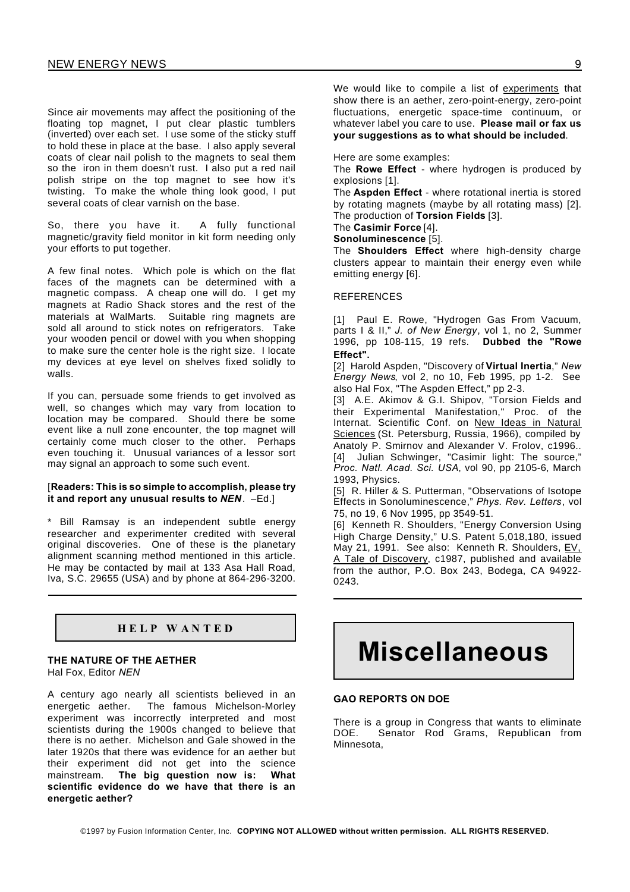Since air movements may affect the positioning of the floating top magnet, I put clear plastic tumblers (inverted) over each set. I use some of the sticky stuff to hold these in place at the base. I also apply several coats of clear nail polish to the magnets to seal them so the iron in them doesn't rust. I also put a red nail polish stripe on the top magnet to see how it's twisting. To make the whole thing look good, I put several coats of clear varnish on the base.

So, there you have it. A fully functional magnetic/gravity field monitor in kit form needing only your efforts to put together.

A few final notes. Which pole is which on the flat faces of the magnets can be determined with a magnetic compass. A cheap one will do. I get my magnets at Radio Shack stores and the rest of the materials at WalMarts. Suitable ring magnets are sold all around to stick notes on refrigerators. Take your wooden pencil or dowel with you when shopping to make sure the center hole is the right size. I locate my devices at eye level on shelves fixed solidly to walls.

If you can, persuade some friends to get involved as well, so changes which may vary from location to location may be compared. Should there be some event like a null zone encounter, the top magnet will certainly come much closer to the other. Perhaps even touching it. Unusual variances of a lessor sort may signal an approach to some such event.

#### [**Readers: This is so simple to accomplish, please try it and report any unusual results to** *NEN*. –Ed.]

\* Bill Ramsay is an independent subtle energy researcher and experimenter credited with several original discoveries. One of these is the planetary alignment scanning method mentioned in this article. He may be contacted by mail at 133 Asa Hall Road, Iva, S.C. 29655 (USA) and by phone at 864-296-3200.

# **H E L P W A N T E D**

# **THE NATURE OF THE AETHER**

Hal Fox, Editor *NEN*

A century ago nearly all scientists believed in an energetic aether. The famous Michelson-Morley experiment was incorrectly interpreted and most scientists during the 1900s changed to believe that there is no aether. Michelson and Gale showed in the later 1920s that there was evidence for an aether but their experiment did not get into the science mainstream. **The big question now is: What scientific evidence do we have that there is an energetic aether?**

We would like to compile a list of experiments that show there is an aether, zero-point-energy, zero-point fluctuations, energetic space-time continuum, or whatever label you care to use. **Please mail or fax us your suggestions as to what should be included**.

Here are some examples:

The **Rowe Effect** - where hydrogen is produced by explosions [1].

The **Aspden Effect** - where rotational inertia is stored by rotating magnets (maybe by all rotating mass) [2]. The production of **Torsion Fields** [3].

The **Casimir Force** [4].

**Sonoluminescence** [5].

The **Shoulders Effect** where high-density charge clusters appear to maintain their energy even while emitting energy [6].

# **REFERENCES**

[1] Paul E. Rowe, "Hydrogen Gas From Vacuum, parts I & II," *J. of New Energy*, vol 1, no 2, Summer 1996, pp 108-115, 19 refs. **Dubbed the "Rowe Effect".**

[2] Harold Aspden, "Discovery of **Virtual Inertia**," *New Energy News*, vol 2, no 10, Feb 1995, pp 1-2. See also Hal Fox, "The Aspden Effect," pp 2-3.

[3] A.E. Akimov & G.I. Shipov, "Torsion Fields and their Experimental Manifestation," Proc. of the Internat. Scientific Conf. on New Ideas in Natural Sciences (St. Petersburg, Russia, 1966), compiled by Anatoly P. Smirnov and Alexander V. Frolov, c1996.. [4] Julian Schwinger, "Casimir light: The source," *Proc. Natl. Acad. Sci. USA*, vol 90, pp 2105-6, March 1993, Physics.

[5] R. Hiller & S. Putterman, "Observations of Isotope Effects in Sonoluminescence," *Phys. Rev. Letters*, vol 75, no 19, 6 Nov 1995, pp 3549-51.

[6] Kenneth R. Shoulders, "Energy Conversion Using High Charge Density," U.S. Patent 5,018,180, issued May 21, 1991. See also: Kenneth R. Shoulders, EV. A Tale of Discovery, c1987, published and available from the author, P.O. Box 243, Bodega, CA 94922- 0243.

# **Miscellaneous**

# **GAO REPORTS ON DOE**

There is a group in Congress that wants to eliminate DOE. Senator Rod Grams, Republican from Minnesota,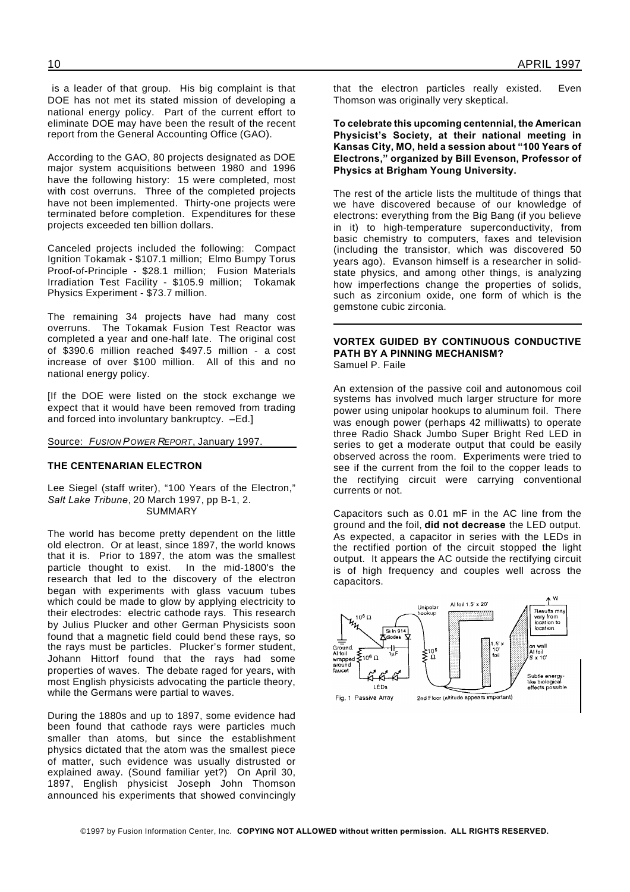is a leader of that group. His big complaint is that DOE has not met its stated mission of developing a national energy policy. Part of the current effort to eliminate DOE may have been the result of the recent report from the General Accounting Office (GAO).

According to the GAO, 80 projects designated as DOE major system acquisitions between 1980 and 1996 have the following history: 15 were completed, most with cost overruns. Three of the completed projects have not been implemented. Thirty-one projects were terminated before completion. Expenditures for these projects exceeded ten billion dollars.

Canceled projects included the following: Compact Ignition Tokamak - \$107.1 million; Elmo Bumpy Torus Proof-of-Principle - \$28.1 million; Fusion Materials Irradiation Test Facility - \$105.9 million; Tokamak Physics Experiment - \$73.7 million.

The remaining 34 projects have had many cost overruns. The Tokamak Fusion Test Reactor was completed a year and one-half late. The original cost of \$390.6 million reached \$497.5 million - a cost increase of over \$100 million. All of this and no national energy policy.

[If the DOE were listed on the stock exchange we expect that it would have been removed from trading and forced into involuntary bankruptcy. –Ed.]

Source: *FUSION POWER REPORT*, January 1997.

# **THE CENTENARIAN ELECTRON**

Lee Siegel (staff writer), "100 Years of the Electron," *Salt Lake Tribune*, 20 March 1997, pp B-1, 2. SUMMARY

The world has become pretty dependent on the little old electron. Or at least, since 1897, the world knows that it is. Prior to 1897, the atom was the smallest particle thought to exist. In the mid-1800's the research that led to the discovery of the electron began with experiments with glass vacuum tubes which could be made to glow by applying electricity to their electrodes: electric cathode rays. This research by Julius Plucker and other German Physicists soon found that a magnetic field could bend these rays, so the rays must be particles. Plucker's former student, Johann Hittorf found that the rays had some properties of waves. The debate raged for years, with most English physicists advocating the particle theory, while the Germans were partial to waves.

During the 1880s and up to 1897, some evidence had been found that cathode rays were particles much smaller than atoms, but since the establishment physics dictated that the atom was the smallest piece of matter, such evidence was usually distrusted or explained away. (Sound familiar yet?) On April 30, 1897, English physicist Joseph John Thomson announced his experiments that showed convincingly

that the electron particles really existed. Even Thomson was originally very skeptical.

**To celebrate this upcoming centennial, the American Physicist's Society, at their national meeting in Kansas City, MO, held a session about "100 Years of Electrons," organized by Bill Evenson, Professor of Physics at Brigham Young University.**

The rest of the article lists the multitude of things that we have discovered because of our knowledge of electrons: everything from the Big Bang (if you believe in it) to high-temperature superconductivity, from basic chemistry to computers, faxes and television (including the transistor, which was discovered 50 years ago). Evanson himself is a researcher in solidstate physics, and among other things, is analyzing how imperfections change the properties of solids, such as zirconium oxide, one form of which is the gemstone cubic zirconia.

#### **VORTEX GUIDED BY CONTINUOUS CONDUCTIVE PATH BY A PINNING MECHANISM?** Samuel P. Faile

An extension of the passive coil and autonomous coil systems has involved much larger structure for more power using unipolar hookups to aluminum foil. There was enough power (perhaps 42 milliwatts) to operate three Radio Shack Jumbo Super Bright Red LED in series to get a moderate output that could be easily observed across the room. Experiments were tried to see if the current from the foil to the copper leads to the rectifying circuit were carrying conventional currents or not.

Capacitors such as 0.01 mF in the AC line from the ground and the foil, **did not decrease** the LED output. As expected, a capacitor in series with the LEDs in the rectified portion of the circuit stopped the light output. It appears the AC outside the rectifying circuit is of high frequency and couples well across the capacitors.

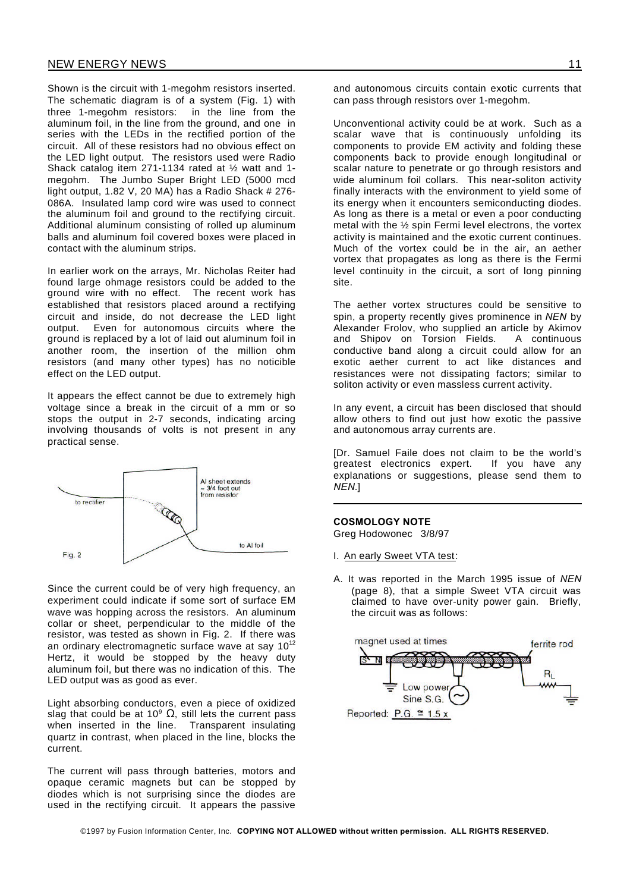Shown is the circuit with 1-megohm resistors inserted. The schematic diagram is of a system (Fig. 1) with three 1-megohm resistors: in the line from the aluminum foil, in the line from the ground, and one in series with the LEDs in the rectified portion of the circuit. All of these resistors had no obvious effect on the LED light output. The resistors used were Radio Shack catalog item 271-1134 rated at ½ watt and 1 megohm. The Jumbo Super Bright LED (5000 mcd light output, 1.82 V, 20 MA) has a Radio Shack # 276- 086A. Insulated lamp cord wire was used to connect the aluminum foil and ground to the rectifying circuit. Additional aluminum consisting of rolled up aluminum balls and aluminum foil covered boxes were placed in contact with the aluminum strips.

In earlier work on the arrays, Mr. Nicholas Reiter had found large ohmage resistors could be added to the ground wire with no effect. The recent work has established that resistors placed around a rectifying circuit and inside, do not decrease the LED light output. Even for autonomous circuits where the ground is replaced by a lot of laid out aluminum foil in another room, the insertion of the million ohm resistors (and many other types) has no noticible effect on the LED output.

It appears the effect cannot be due to extremely high voltage since a break in the circuit of a mm or so stops the output in 2-7 seconds, indicating arcing involving thousands of volts is not present in any practical sense.



Since the current could be of very high frequency, an experiment could indicate if some sort of surface EM wave was hopping across the resistors. An aluminum collar or sheet, perpendicular to the middle of the resistor, was tested as shown in Fig. 2. If there was an ordinary electromagnetic surface wave at say  $10^{12}$ Hertz, it would be stopped by the heavy duty aluminum foil, but there was no indication of this. The LED output was as good as ever.

Light absorbing conductors, even a piece of oxidized slag that could be at 10<sup>9</sup>  $\Omega$ , still lets the current pass when inserted in the line. Transparent insulating quartz in contrast, when placed in the line, blocks the current.

The current will pass through batteries, motors and opaque ceramic magnets but can be stopped by diodes which is not surprising since the diodes are used in the rectifying circuit. It appears the passive

Unconventional activity could be at work. Such as a scalar wave that is continuously unfolding its components to provide EM activity and folding these components back to provide enough longitudinal or scalar nature to penetrate or go through resistors and wide aluminum foil collars. This near-soliton activity finally interacts with the environment to yield some of its energy when it encounters semiconducting diodes. As long as there is a metal or even a poor conducting metal with the ½ spin Fermi level electrons, the vortex activity is maintained and the exotic current continues. Much of the vortex could be in the air, an aether vortex that propagates as long as there is the Fermi level continuity in the circuit, a sort of long pinning site.

can pass through resistors over 1-megohm.

The aether vortex structures could be sensitive to spin, a property recently gives prominence in *NEN* by Alexander Frolov, who supplied an article by Akimov and Shipov on Torsion Fields. A continuous conductive band along a circuit could allow for an exotic aether current to act like distances and resistances were not dissipating factors; similar to soliton activity or even massless current activity.

In any event, a circuit has been disclosed that should allow others to find out just how exotic the passive and autonomous array currents are.

[Dr. Samuel Faile does not claim to be the world's qreatest electronics expert. explanations or suggestions, please send them to *NEN*.]

**COSMOLOGY NOTE** Greg Hodowonec 3/8/97

- I. An early Sweet VTA test:
- A. It was reported in the March 1995 issue of *NEN* (page 8), that a simple Sweet VTA circuit was claimed to have over-unity power gain. Briefly, the circuit was as follows:

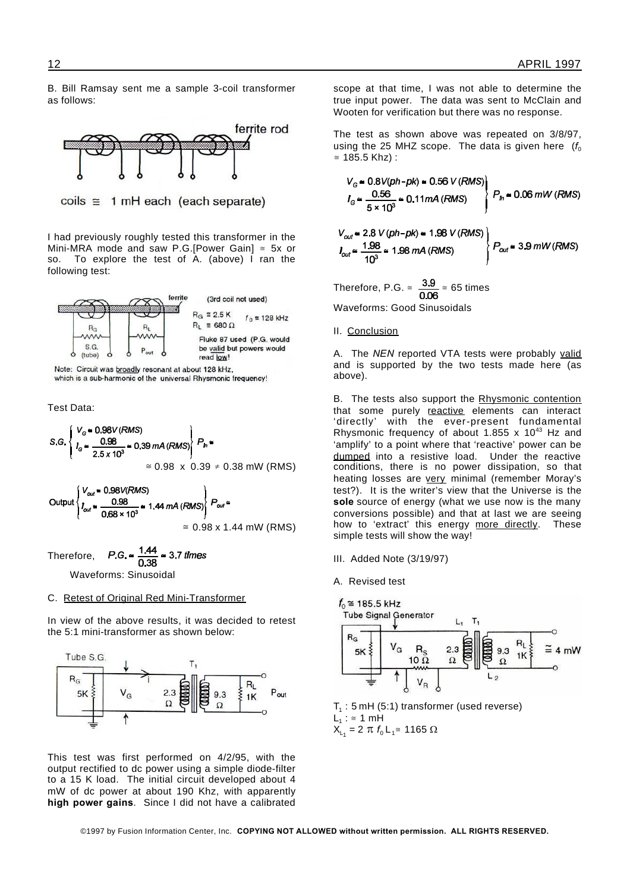B. Bill Ramsay sent me a sample 3-coil transformer as follows:



coils  $\equiv$  1 mH each (each separate)

I had previously roughly tested this transformer in the Mini-MRA mode and saw P.G.[Power Gain]  $\le$  5x or so. To explore the test of A (above) I ran the To explore the test of A. (above) I ran the following test:



Note: Circuit was broadly resonant at about 128 kHz, which is a sub-harmonic of the universal Rhysmonic frequency!

Test Data:



# $P.G. = \frac{1.44}{0.38} \approx 3.7$  times Therefore,

Waveforms: Sinusoidal

# C. Retest of Original Red Mini-Transformer

In view of the above results, it was decided to retest the 5:1 mini-transformer as shown below:



This test was first performed on 4/2/95, with the output rectified to dc power using a simple diode-filter to a 15 K load. The initial circuit developed about 4 mW of dc power at about 190 Khz, with apparently **high power gains**. Since I did not have a calibrated scope at that time, I was not able to determine the true input power. The data was sent to McClain and Wooten for verification but there was no response.

The test as shown above was repeated on 3/8/97, using the 25 MHZ scope. The data is given here  $(f_0, f_1)$  $= 185.5$  Khz) :

$$
V_{G} \approx 0.8V(ph-pk) \approx 0.56 V (RMS)
$$
\n
$$
I_{G} \approx \frac{0.56}{5 \times 10^{3}} \approx 0.11 mA (RMS)
$$
\n
$$
V_{out} \approx 2.8 V(ph-pk) \approx 1.98 V(RMS)
$$
\n
$$
I_{out} \approx \frac{1.98}{10^{3}} \approx 1.98 mA (RMS)
$$
\n
$$
V_{out} \approx \frac{1.98}{10^{3}} \approx 1.98 mA (RMS)
$$
\n
$$
V_{out} \approx 3.9 mW (RMS)
$$
\nTherefore, P.G.  $\approx \frac{3.9}{0.06} \approx 65 \text{ times}$ 

Waveforms: Good Sinusoidals

II. Conclusion

A. The *NEN* reported VTA tests were probably valid and is supported by the two tests made here (as above).

B. The tests also support the Rhysmonic contention that some purely reactive elements can interact 'directly' with the ever-present fundamental Rhysmonic frequency of about 1.855  $\times$  10<sup>43</sup> Hz and 'amplify' to a point where that 'reactive' power can be dumped into a resistive load. Under the reactive conditions, there is no power dissipation, so that heating losses are very minimal (remember Moray's test?). It is the writer's view that the Universe is the **sole** source of energy (what we use now is the many conversions possible) and that at last we are seeing how to 'extract' this energy more directly. These simple tests will show the way!

- III. Added Note (3/19/97)
- A. Revised test



 $\mathsf{T}_\mathsf{1}$  : 5 mH (5:1) transformer (used reverse)  $L_1$ :  $\cong$  1 mH  $X_{L_1}$  = 2  $\pi$   $f_0$  L<sub>1</sub>  $\approx$  1165  $\Omega$ 

©1997 by Fusion Information Center, Inc. **COPYING NOT ALLOWED without written permission. ALL RIGHTS RESERVED.**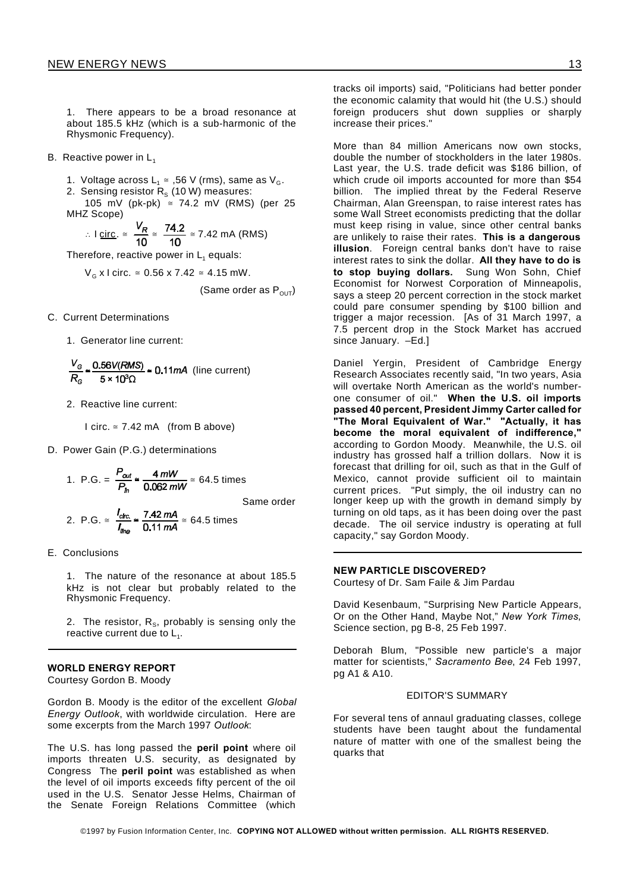1. There appears to be a broad resonance at about 185.5 kHz (which is a sub-harmonic of the Rhysmonic Frequency).

B. Reactive power in  $L_1$ 

1. Voltage across  $L_1 \cong 0.56$  V (rms), same as  $V_G$ .

2. Sensing resistor  $R_{\scriptscriptstyle \rm S}$  (10 W) measures:

105 mV (pk-pk)  $\approx$  74.2 mV (RMS) (per 25 MHZ Scope)

∴ I circ. 
$$
\approx \frac{v_R}{10} \approx \frac{74.2}{10} \approx 7.42
$$
 mA (RMS)

Therefore, reactive power in  $L_1$  equals:

 $V<sub>G</sub>$  x l circ. ≅ 0.56 x 7.42 ≅ 4.15 mW.

(Same order as  $P_{\text{OUT}}$ )

C. Current Determinations

1. Generator line current:

$$
\frac{V_{\rm G}}{R_{\rm G}} \approx \frac{0.56V(RMS)}{5 \times 10^3 \Omega} \approx 0.11 mA \text{ (line current)}
$$

2. Reactive line current:

I circ.  $\approx$  7.42 mA (from B above)

D. Power Gain (P.G.) determinations

1. P.G. = 
$$
\frac{P_{out}}{P_{in}} \approx \frac{4 \, mW}{0.062 \, mW} \approx 64.5 \text{ times}
$$
  
Same order

2. P.G. 
$$
\approx \frac{I_{\text{circ}}}{I_{\text{line}}}
$$
  $\approx \frac{7.42 \text{ mA}}{0.11 \text{ mA}} \approx 64.5 \text{ times}$ 

E. Conclusions

1. The nature of the resonance at about 185.5 kHz is not clear but probably related to the Rhysmonic Frequency.

2. The resistor, R<sub>s</sub>, probably is sensing only the reactive current due to  $\mathsf{L}_1$ .

# **WORLD ENERGY REPORT**

Courtesy Gordon B. Moody

Gordon B. Moody is the editor of the excellent *Global Energy Outlook*, with worldwide circulation. Here are some excerpts from the March 1997 *Outlook*:

The U.S. has long passed the **peril point** where oil imports threaten U.S. security, as designated by Congress The **peril point** was established as when the level of oil imports exceeds fifty percent of the oil used in the U.S. Senator Jesse Helms, Chairman of the Senate Foreign Relations Committee (which

tracks oil imports) said, "Politicians had better ponder the economic calamity that would hit (the U.S.) should foreign producers shut down supplies or sharply increase their prices."

More than 84 million Americans now own stocks, double the number of stockholders in the later 1980s. Last year, the U.S. trade deficit was \$186 billion, of which crude oil imports accounted for more than \$54 billion. The implied threat by the Federal Reserve Chairman, Alan Greenspan, to raise interest rates has some Wall Street economists predicting that the dollar must keep rising in value, since other central banks are unlikely to raise their rates. **This is a dangerous illusion**. Foreign central banks don't have to raise interest rates to sink the dollar. **All they have to do is to stop buying dollars.** Sung Won Sohn, Chief Economist for Norwest Corporation of Minneapolis, says a steep 20 percent correction in the stock market could pare consumer spending by \$100 billion and trigger a major recession. [As of 31 March 1997, a 7.5 percent drop in the Stock Market has accrued since January. –Ed.]

Daniel Yergin, President of Cambridge Energy Research Associates recently said, "In two years, Asia will overtake North American as the world's numberone consumer of oil." **When the U.S. oil imports passed 40 percent, President Jimmy Carter called for "The Moral Equivalent of War." "Actually, it has become the moral equivalent of indifference,"** according to Gordon Moody. Meanwhile, the U.S. oil industry has grossed half a trillion dollars. Now it is forecast that drilling for oil, such as that in the Gulf of Mexico, cannot provide sufficient oil to maintain current prices. "Put simply, the oil industry can no longer keep up with the growth in demand simply by turning on old taps, as it has been doing over the past decade. The oil service industry is operating at full capacity," say Gordon Moody.

#### **NEW PARTICLE DISCOVERED?**

Courtesy of Dr. Sam Faile & Jim Pardau

David Kesenbaum, "Surprising New Particle Appears, Or on the Other Hand, Maybe Not," *New York Times*, Science section, pg B-8, 25 Feb 1997.

Deborah Blum, "Possible new particle's a major matter for scientists," *Sacramento Bee*, 24 Feb 1997, pg A1 & A10.

# EDITOR'S SUMMARY

For several tens of annaul graduating classes, college students have been taught about the fundamental nature of matter with one of the smallest being the quarks that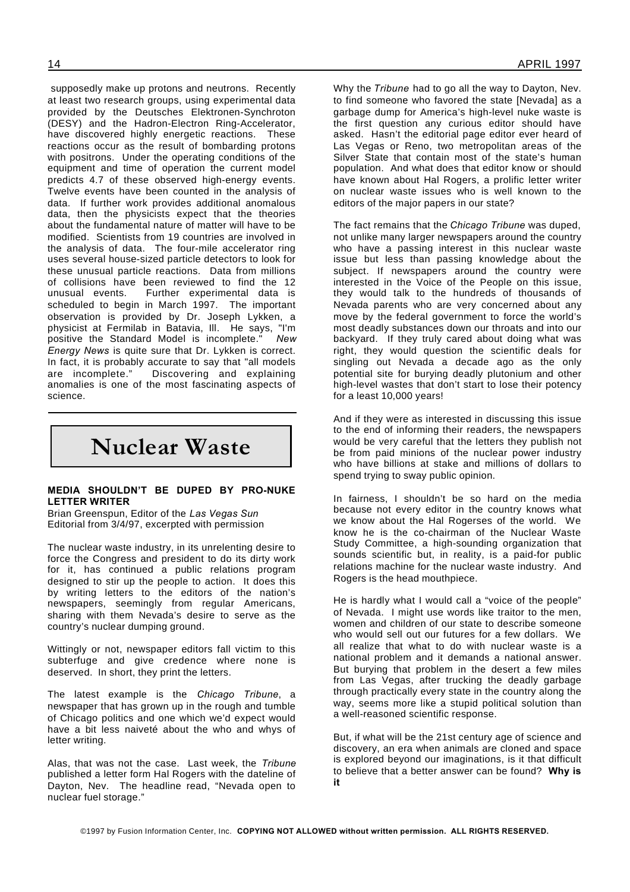supposedly make up protons and neutrons. Recently at least two research groups, using experimental data provided by the Deutsches Elektronen-Synchroton (DESY) and the Hadron-Electron Ring-Accelerator, have discovered highly energetic reactions. These reactions occur as the result of bombarding protons with positrons. Under the operating conditions of the equipment and time of operation the current model predicts 4.7 of these observed high-energy events. Twelve events have been counted in the analysis of data. If further work provides additional anomalous data, then the physicists expect that the theories about the fundamental nature of matter will have to be modified. Scientists from 19 countries are involved in the analysis of data. The four-mile accelerator ring uses several house-sized particle detectors to look for these unusual particle reactions. Data from millions of collisions have been reviewed to find the 12 unusual events. Further experimental data is scheduled to begin in March 1997. The important observation is provided by Dr. Joseph Lykken, a physicist at Fermilab in Batavia, Ill. He says, "I'm positive the Standard Model is incomplete." *New Energy News* is quite sure that Dr. Lykken is correct. In fact, it is probably accurate to say that "all models are incomplete." Discovering and explaining anomalies is one of the most fascinating aspects of science.

# **Nuclear Waste**

# **MEDIA SHOULDN'T BE DUPED BY PRO-NUKE LETTER WRITER**

Brian Greenspun, Editor of the *Las Vegas Sun* Editorial from 3/4/97, excerpted with permission

The nuclear waste industry, in its unrelenting desire to force the Congress and president to do its dirty work for it, has continued a public relations program designed to stir up the people to action. It does this by writing letters to the editors of the nation's newspapers, seemingly from regular Americans, sharing with them Nevada's desire to serve as the country's nuclear dumping ground.

Wittingly or not, newspaper editors fall victim to this subterfuge and give credence where none is deserved. In short, they print the letters.

The latest example is the *Chicago Tribune*, a newspaper that has grown up in the rough and tumble of Chicago politics and one which we'd expect would have a bit less naiveté about the who and whys of letter writing.

Alas, that was not the case. Last week, the *Tribune* published a letter form Hal Rogers with the dateline of Dayton, Nev. The headline read, "Nevada open to nuclear fuel storage."

Why the *Tribune* had to go all the way to Dayton, Nev. to find someone who favored the state [Nevada] as a garbage dump for America's high-level nuke waste is the first question any curious editor should have asked. Hasn't the editorial page editor ever heard of Las Vegas or Reno, two metropolitan areas of the Silver State that contain most of the state's human population. And what does that editor know or should have known about Hal Rogers, a prolific letter writer on nuclear waste issues who is well known to the editors of the major papers in our state?

The fact remains that the *Chicago Tribune* was duped, not unlike many larger newspapers around the country who have a passing interest in this nuclear waste issue but less than passing knowledge about the subject. If newspapers around the country were interested in the Voice of the People on this issue, they would talk to the hundreds of thousands of Nevada parents who are very concerned about any move by the federal government to force the world's most deadly substances down our throats and into our backyard. If they truly cared about doing what was right, they would question the scientific deals for singling out Nevada a decade ago as the only potential site for burying deadly plutonium and other high-level wastes that don't start to lose their potency for a least 10,000 years!

And if they were as interested in discussing this issue to the end of informing their readers, the newspapers would be very careful that the letters they publish not be from paid minions of the nuclear power industry who have billions at stake and millions of dollars to spend trying to sway public opinion.

In fairness, I shouldn't be so hard on the media because not every editor in the country knows what we know about the Hal Rogerses of the world. We know he is the co-chairman of the Nuclear Waste Study Committee, a high-sounding organization that sounds scientific but, in reality, is a paid-for public relations machine for the nuclear waste industry. And Rogers is the head mouthpiece.

He is hardly what I would call a "voice of the people" of Nevada. I might use words like traitor to the men, women and children of our state to describe someone who would sell out our futures for a few dollars. We all realize that what to do with nuclear waste is a national problem and it demands a national answer. But burying that problem in the desert a few miles from Las Vegas, after trucking the deadly garbage through practically every state in the country along the way, seems more like a stupid political solution than a well-reasoned scientific response.

But, if what will be the 21st century age of science and discovery, an era when animals are cloned and space is explored beyond our imaginations, is it that difficult to believe that a better answer can be found? **Why is it**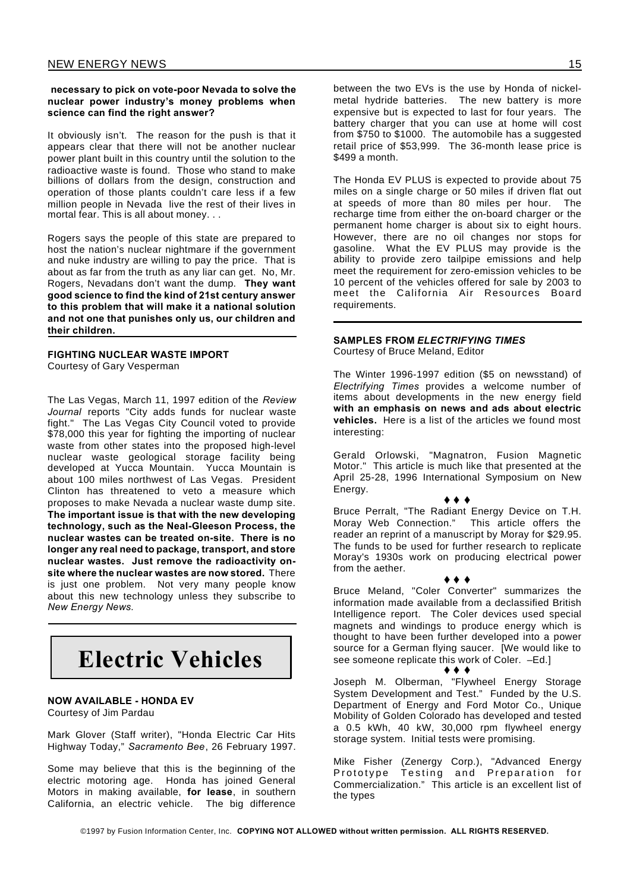# **necessary to pick on vote-poor Nevada to solve the nuclear power industry's money problems when science can find the right answer?**

It obviously isn't. The reason for the push is that it appears clear that there will not be another nuclear power plant built in this country until the solution to the radioactive waste is found. Those who stand to make billions of dollars from the design, construction and operation of those plants couldn't care less if a few million people in Nevada live the rest of their lives in mortal fear. This is all about money. . .

Rogers says the people of this state are prepared to host the nation's nuclear nightmare if the government and nuke industry are willing to pay the price. That is about as far from the truth as any liar can get. No, Mr. Rogers, Nevadans don't want the dump. **They want good science to find the kind of 21st century answer to this problem that will make it a national solution and not one that punishes only us, our children and their children.**

# **FIGHTING NUCLEAR WASTE IMPORT** Courtesy of Gary Vesperman

The Las Vegas, March 11, 1997 edition of the *Review Journal* reports "City adds funds for nuclear waste fight." The Las Vegas City Council voted to provide \$78,000 this year for fighting the importing of nuclear waste from other states into the proposed high-level nuclear waste geological storage facility being developed at Yucca Mountain. Yucca Mountain is about 100 miles northwest of Las Vegas. President Clinton has threatened to veto a measure which proposes to make Nevada a nuclear waste dump site. **The important issue is that with the new developing technology, such as the Neal-Gleeson Process, the nuclear wastes can be treated on-site. There is no longer any real need to package, transport, and store nuclear wastes. Just remove the radioactivity onsite where the nuclear wastes are now stored.** There is just one problem. Not very many people know about this new technology unless they subscribe to *New Energy News.*

# **Electric Vehicles**

# **NOW AVAILABLE - HONDA EV**

Courtesy of Jim Pardau

Mark Glover (Staff writer), "Honda Electric Car Hits Highway Today," *Sacramento Bee*, 26 February 1997.

Some may believe that this is the beginning of the electric motoring age. Honda has joined General Motors in making available, **for lease**, in southern California, an electric vehicle. The big difference

between the two EVs is the use by Honda of nickelmetal hydride batteries. The new battery is more expensive but is expected to last for four years. The battery charger that you can use at home will cost from  $$750$  to  $$1000$ . The automobile has a suggested retail price of \$53,999. The 36-month lease price is \$499 a month.

The Honda EV PLUS is expected to provide about 75 miles on a single charge or 50 miles if driven flat out at speeds of more than 80 miles per hour. The recharge time from either the on-board charger or the permanent home charger is about six to eight hours. However, there are no oil changes nor stops for gasoline. What the EV PLUS may provide is the ability to provide zero tailpipe emissions and help meet the requirement for zero-emission vehicles to be 10 percent of the vehicles offered for sale by 2003 to meet the California Air Resources Board requirements.

# **SAMPLES FROM** *ELECTRIFYING TIMES*

Courtesy of Bruce Meland, Editor

The Winter 1996-1997 edition (\$5 on newsstand) of *Electrifying Times* provides a welcome number of items about developments in the new energy field **with an emphasis on news and ads about electric vehicles.** Here is a list of the articles we found most interesting:

Gerald Orlowski, "Magnatron, Fusion Magnetic Motor." This article is much like that presented at the April 25-28, 1996 International Symposium on New Energy.

 $\bullet\hspace{0.1cm} \bullet\hspace{0.1cm}\bullet\hspace{0.1cm} \bullet$ 

Bruce Perralt, "The Radiant Energy Device on T.H. Moray Web Connection." This article offers the reader an reprint of a manuscript by Moray for \$29.95. The funds to be used for further research to replicate Moray's 1930s work on producing electrical power from the aether.

# $\bullet$   $\bullet$   $\bullet$

Bruce Meland, "Coler Converter" summarizes the information made available from a declassified British Intelligence report. The Coler devices used special magnets and windings to produce energy which is thought to have been further developed into a power source for a German flying saucer. [We would like to see someone replicate this work of Coler. –Ed.]

...

Joseph M. Olberman, "Flywheel Energy Storage System Development and Test." Funded by the U.S. Department of Energy and Ford Motor Co., Unique Mobility of Golden Colorado has developed and tested a 0.5 kWh, 40 kW, 30,000 rpm flywheel energy storage system. Initial tests were promising.

Mike Fisher (Zenergy Corp.), "Advanced Energy Prototype Testing and Preparation for Commercialization." This article is an excellent list of the types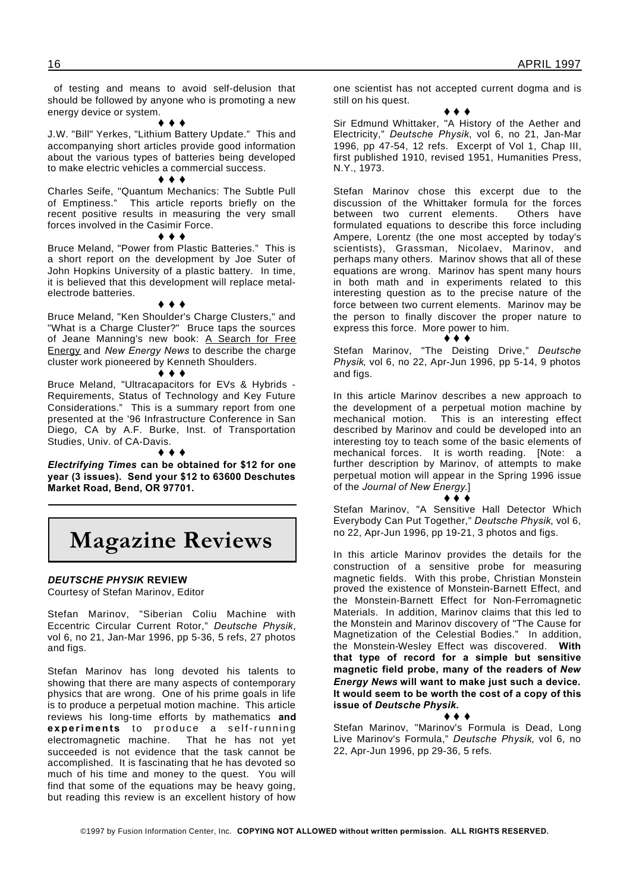of testing and means to avoid self-delusion that should be followed by anyone who is promoting a new energy device or system.

 $\rightarrow$  4

J.W. "Bill" Yerkes, "Lithium Battery Update." This and accompanying short articles provide good information about the various types of batteries being developed to make electric vehicles a commercial success.

#### $\bullet\bullet\bullet$

Charles Seife, "Quantum Mechanics: The Subtle Pull of Emptiness." This article reports briefly on the recent positive results in measuring the very small forces involved in the Casimir Force.

#### $\bullet\bullet\bullet$

Bruce Meland, "Power from Plastic Batteries." This is a short report on the development by Joe Suter of John Hopkins University of a plastic battery. In time, it is believed that this development will replace metalelectrode batteries.

 $\bullet$   $\bullet$   $\bullet$ 

Bruce Meland, "Ken Shoulder's Charge Clusters," and "What is a Charge Cluster?" Bruce taps the sources of Jeane Manning's new book: A Search for Free Energy and *New Energy News* to describe the charge cluster work pioneered by Kenneth Shoulders.

#### $\leftrightarrow$   $\leftrightarrow$

Bruce Meland, "Ultracapacitors for EVs & Hybrids - Requirements, Status of Technology and Key Future Considerations." This is a summary report from one presented at the '96 Infrastructure Conference in San Diego, CA by A.F. Burke, Inst. of Transportation Studies, Univ. of CA-Davis.

 $\bullet\ \bullet\ \bullet$ 

*Electrifying Times* **can be obtained for \$12 for one year (3 issues). Send your \$12 to 63600 Deschutes Market Road, Bend, OR 97701.**

# **Magazine Reviews**

# *DEUTSCHE PHYSIK* **REVIEW**

Courtesy of Stefan Marinov, Editor

Stefan Marinov, "Siberian Coliu Machine with Eccentric Circular Current Rotor," *Deutsche Physik*, vol 6, no 21, Jan-Mar 1996, pp 5-36, 5 refs, 27 photos and figs.

Stefan Marinov has long devoted his talents to showing that there are many aspects of contemporary physics that are wrong. One of his prime goals in life is to produce a perpetual motion machine. This article reviews his long-time efforts by mathematics **and experiments** to produce a self-running electromagnetic machine. That he has not yet succeeded is not evidence that the task cannot be accomplished. It is fascinating that he has devoted so much of his time and money to the quest. You will find that some of the equations may be heavy going, but reading this review is an excellent history of how

one scientist has not accepted current dogma and is still on his quest.

#### $\bullet$   $\bullet$   $\bullet$

Sir Edmund Whittaker, "A History of the Aether and Electricity," *Deutsche Physik*, vol 6, no 21, Jan-Mar 1996, pp 47-54, 12 refs. Excerpt of Vol 1, Chap III, first published 1910, revised 1951, Humanities Press, N.Y., 1973.

Stefan Marinov chose this excerpt due to the discussion of the Whittaker formula for the forces<br>between two current elements. Others have between two current elements. formulated equations to describe this force including Ampere, Lorentz (the one most accepted by today's scientists), Grassman, Nicolaev, Marinov, and perhaps many others. Marinov shows that all of these equations are wrong. Marinov has spent many hours in both math and in experiments related to this interesting question as to the precise nature of the force between two current elements. Marinov may be the person to finally discover the proper nature to express this force. More power to him.

#### $\bullet\bullet\bullet$

Stefan Marinov, "The Deisting Drive," *Deutsche Physik*, vol 6, no 22, Apr-Jun 1996, pp 5-14, 9 photos and figs.

In this article Marinov describes a new approach to the development of a perpetual motion machine by mechanical motion. This is an interesting effect described by Marinov and could be developed into an interesting toy to teach some of the basic elements of mechanical forces. It is worth reading. [Note: a further description by Marinov, of attempts to make perpetual motion will appear in the Spring 1996 issue of the *Journal of New Energy*.]

# . . .

Stefan Marinov, "A Sensitive Hall Detector Which Everybody Can Put Together," *Deutsche Physik*, vol 6, no 22, Apr-Jun 1996, pp 19-21, 3 photos and figs.

In this article Marinov provides the details for the construction of a sensitive probe for measuring magnetic fields. With this probe, Christian Monstein proved the existence of Monstein-Barnett Effect, and the Monstein-Barnett Effect for Non-Ferromagnetic Materials. In addition, Marinov claims that this led to the Monstein and Marinov discovery of "The Cause for Magnetization of the Celestial Bodies." In addition, the Monstein-Wesley Effect was discovered. **With that type of record for a simple but sensitive magnetic field probe, many of the readers of** *New Energy News* **will want to make just such a device. It would seem to be worth the cost of a copy of this issue of** *Deutsche Physik.*

. . .

Stefan Marinov, "Marinov's Formula is Dead, Long Live Marinov's Formula," *Deutsche Physik*, vol 6, no 22, Apr-Jun 1996, pp 29-36, 5 refs.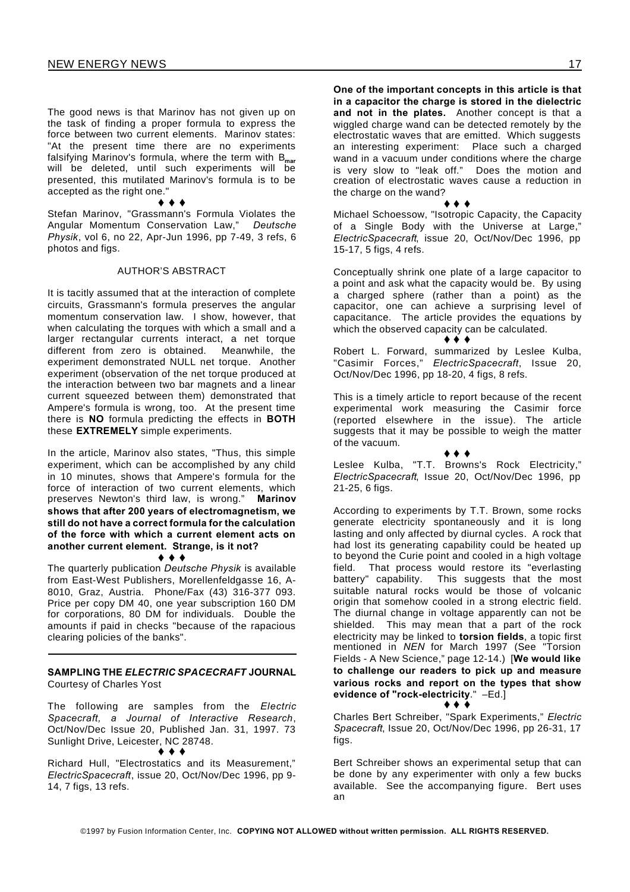The good news is that Marinov has not given up on the task of finding a proper formula to express the force between two current elements. Marinov states: "At the present time there are no experiments falsifying Marinov's formula, where the term with B**mar** will be deleted, until such experiments will be presented, this mutilated Marinov's formula is to be accepted as the right one."

 $\bullet$   $\bullet$   $\bullet$ Stefan Marinov, "Grassmann's Formula Violates the Angular Momentum Conservation Law," *Deutsche Physik*, vol 6, no 22, Apr-Jun 1996, pp 7-49, 3 refs, 6 photos and figs.

#### AUTHOR'S ABSTRACT

It is tacitly assumed that at the interaction of complete circuits, Grassmann's formula preserves the angular momentum conservation law. I show, however, that when calculating the torques with which a small and a larger rectangular currents interact, a net torque different from zero is obtained. Meanwhile, the experiment demonstrated NULL net torque. Another experiment (observation of the net torque produced at the interaction between two bar magnets and a linear current squeezed between them) demonstrated that Ampere's formula is wrong, too. At the present time there is **NO** formula predicting the effects in **BOTH** these **EXTREMELY** simple experiments.

In the article, Marinov also states, "Thus, this simple experiment, which can be accomplished by any child in 10 minutes, shows that Ampere's formula for the force of interaction of two current elements, which preserves Newton's third law, is wrong." **Marinov shows that after 200 years of electromagnetism, we still do not have a correct formula for the calculation of the force with which a current element acts on another current element. Strange, is it not?**  $\bullet$   $\bullet$   $\bullet$ 

The quarterly publication *Deutsche Physik* is available from East-West Publishers, Morellenfeldgasse 16, A-8010, Graz, Austria. Phone/Fax (43) 316-377 093. Price per copy DM 40, one year subscription 160 DM for corporations, 80 DM for individuals. Double the amounts if paid in checks "because of the rapacious clearing policies of the banks".

# **SAMPLING THE** *ELECTRIC SPACECRAFT* **JOURNAL** Courtesy of Charles Yost

The following are samples from the *Electric Spacecraft, a Journal of Interactive Research*, Oct/Nov/Dec Issue 20, Published Jan. 31, 1997. 73 Sunlight Drive, Leicester, NC 28748.  $\bullet\hspace{0.1cm} \bullet\hspace{0.1cm}\bullet\hspace{0.1cm} \bullet$ 

Richard Hull, "Electrostatics and its Measurement," *ElectricSpacecraft*, issue 20, Oct/Nov/Dec 1996, pp 9- 14, 7 figs, 13 refs.

**One of the important concepts in this article is that in a capacitor the charge is stored in the dielectric and not in the plates.** Another concept is that a wiggled charge wand can be detected remotely by the electrostatic waves that are emitted. Which suggests an interesting experiment: Place such a charged wand in a vacuum under conditions where the charge is very slow to "leak off." Does the motion and creation of electrostatic waves cause a reduction in the charge on the wand?

 $\bullet$   $\bullet$   $\bullet$ 

Michael Schoessow, "Isotropic Capacity, the Capacity of a Single Body with the Universe at Large," *ElectricSpacecraft*, issue 20, Oct/Nov/Dec 1996, pp 15-17, 5 figs, 4 refs.

Conceptually shrink one plate of a large capacitor to a point and ask what the capacity would be. By using a charged sphere (rather than a point) as the capacitor, one can achieve a surprising level of capacitance. The article provides the equations by which the observed capacity can be calculated.  $\bullet\bullet\bullet$ 

Robert L. Forward, summarized by Leslee Kulba, "Casimir Forces," *ElectricSpacecraft*, Issue 20, Oct/Nov/Dec 1996, pp 18-20, 4 figs, 8 refs.

This is a timely article to report because of the recent experimental work measuring the Casimir force (reported elsewhere in the issue). The article suggests that it may be possible to weigh the matter of the vacuum.

#### $\bullet\bullet\bullet$

Leslee Kulba, "T.T. Browns's Rock Electricity," *ElectricSpacecraft*, Issue 20, Oct/Nov/Dec 1996, pp 21-25, 6 figs.

According to experiments by T.T. Brown, some rocks generate electricity spontaneously and it is long lasting and only affected by diurnal cycles. A rock that had lost its generating capability could be heated up to beyond the Curie point and cooled in a high voltage field. That process would restore its "everlasting battery" capability. This suggests that the most suitable natural rocks would be those of volcanic origin that somehow cooled in a strong electric field. The diurnal change in voltage apparently can not be shielded. This may mean that a part of the rock electricity may be linked to **torsion fields**, a topic first mentioned in *NEN* for March 1997 (See "Torsion Fields - A New Science," page 12-14.) [**We would like to challenge our readers to pick up and measure various rocks and report on the types that show evidence of "rock-electricity**." –Ed.]

 $\bullet$   $\bullet$   $\bar{\bullet}$ 

Charles Bert Schreiber, "Spark Experiments," *Electric Spacecraft*, Issue 20, Oct/Nov/Dec 1996, pp 26-31, 17 fias.

Bert Schreiber shows an experimental setup that can be done by any experimenter with only a few bucks available. See the accompanying figure. Bert uses an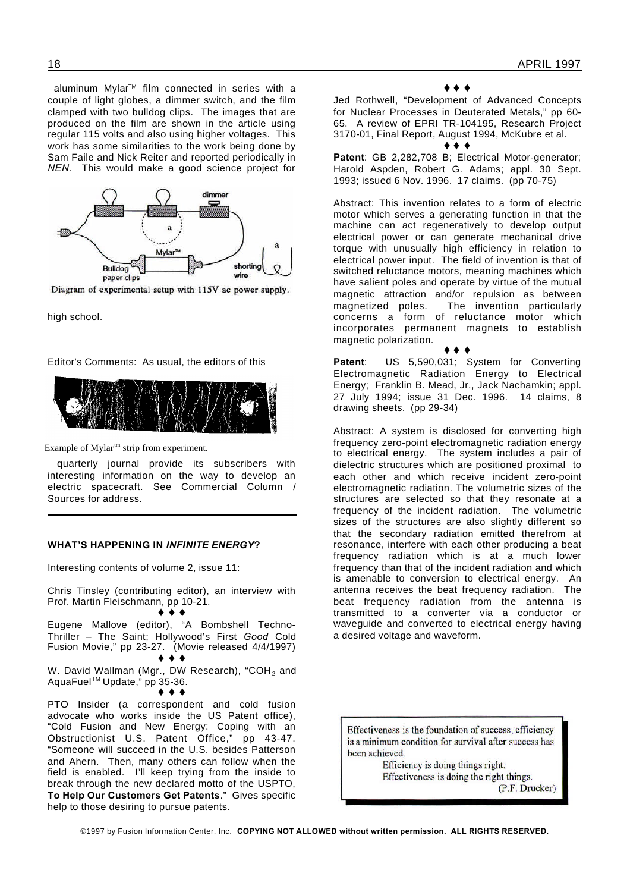aluminum Mylar<sup>™</sup> film connected in series with a couple of light globes, a dimmer switch, and the film clamped with two bulldog clips. The images that are produced on the film are shown in the article using regular 115 volts and also using higher voltages. This work has some similarities to the work being done by Sam Faile and Nick Reiter and reported periodically in *NEN*. This would make a good science project for



Diagram of experimental setup with 115V ac power supply.

high school.

Editor's Comments: As usual, the editors of this



Example of Mylar<sup>tm</sup> strip from experiment.

quarterly journal provide its subscribers with interesting information on the way to develop an electric spacecraft. See Commercial Column / Sources for address.

#### **WHAT'S HAPPENING IN** *INFINITE ENERGY***?**

Interesting contents of volume 2, issue 11:

Chris Tinsley (contributing editor), an interview with Prof. Martin Fleischmann, pp 10-21.

# $\bullet$   $\bullet$   $\bullet$

Eugene Mallove (editor), "A Bombshell Techno-Thriller – The Saint; Hollywood's First *Good* Cold Fusion Movie," pp 23-27. (Movie released 4/4/1997)

 $\bullet$   $\bullet$   $\bullet$ 

W. David Wallman (Mgr., DW Research), "COH<sub>2</sub> and AquaFuel TM Update," pp 35-36.

 $\bullet$   $\bullet$   $\bullet$ 

PTO Insider (a correspondent and cold fusion advocate who works inside the US Patent office), "Cold Fusion and New Energy: Coping with an Obstructionist U.S. Patent Office," pp 43-47. "Someone will succeed in the U.S. besides Patterson and Ahern. Then, many others can follow when the field is enabled. I'll keep trying from the inside to break through the new declared motto of the USPTO, **To Help Our Customers Get Patents**." Gives specific help to those desiring to pursue patents.

#### $\bullet\bullet\bullet$

Jed Rothwell, "Development of Advanced Concepts for Nuclear Processes in Deuterated Metals," pp 60- 65. A review of EPRI TR-104195, Research Project 3170-01, Final Report, August 1994, McKubre et al.

Patent: GB 2,282,708 B; Electrical Motor-generator; Harold Aspden, Robert G. Adams; appl. 30 Sept. 1993; issued 6 Nov. 1996. 17 claims. (pp 70-75)

 $\bullet\bullet\bullet$ 

Abstract: This invention relates to a form of electric motor which serves a generating function in that the machine can act regeneratively to develop output electrical power or can generate mechanical drive torque with unusually high efficiency in relation to electrical power input. The field of invention is that of switched reluctance motors, meaning machines which have salient poles and operate by virtue of the mutual magnetic attraction and/or repulsion as between magnetized poles. The invention particularly concerns a form of reluctance motor which incorporates permanent magnets to establish magnetic polarization.

 $\leftrightarrow$   $\leftrightarrow$ **Patent**: US 5,590,031; System for Converting Electromagnetic Radiation Energy to Electrical Energy; Franklin B. Mead, Jr., Jack Nachamkin; appl. 27 July 1994; issue 31 Dec. 1996. 14 claims, 8 drawing sheets. (pp 29-34)

Abstract: A system is disclosed for converting high frequency zero-point electromagnetic radiation energy to electrical energy. The system includes a pair of dielectric structures which are positioned proximal to each other and which receive incident zero-point electromagnetic radiation. The volumetric sizes of the structures are selected so that they resonate at a frequency of the incident radiation. The volumetric sizes of the structures are also slightly different so that the secondary radiation emitted therefrom at resonance, interfere with each other producing a beat frequency radiation which is at a much lower frequency than that of the incident radiation and which is amenable to conversion to electrical energy. An antenna receives the beat frequency radiation. The beat frequency radiation from the antenna is transmitted to a converter via a conductor or waveguide and converted to electrical energy having a desired voltage and waveform.

Effectiveness is the foundation of success, efficiency is a minimum condition for survival after success has been achieved.

> Efficiency is doing things right. Effectiveness is doing the right things. (P.F. Drucker)

©1997 by Fusion Information Center, Inc. **COPYING NOT ALLOWED without written permission. ALL RIGHTS RESERVED.**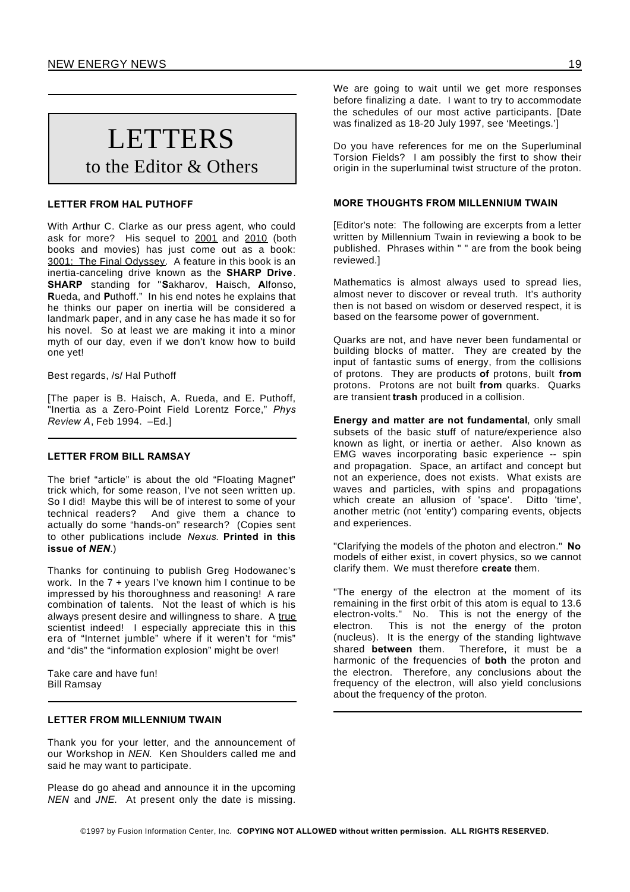# **LETTERS** to the Editor & Others

# **LETTER FROM HAL PUTHOFF**

With Arthur C. Clarke as our press agent, who could ask for more? His sequel to 2001 and 2010 (both books and movies) has just come out as a book: 3001: The Final Odyssey. A feature in this book is an inertia-canceling drive known as the **SHARP Drive**. **SHARP** standing for "**S**akharov, **H**aisch, **A**lfonso, **R**ueda, and **P**uthoff." In his end notes he explains that he thinks our paper on inertia will be considered a landmark paper, and in any case he has made it so for his novel. So at least we are making it into a minor myth of our day, even if we don't know how to build one yet!

Best regards, /s/ Hal Puthoff

[The paper is B. Haisch, A. Rueda, and E. Puthoff, "Inertia as a Zero-Point Field Lorentz Force," *Phys Review A*, Feb 1994. –Ed.]

# **LETTER FROM BILL RAMSAY**

The brief "article" is about the old "Floating Magnet" trick which, for some reason, I've not seen written up. So I did! Maybe this will be of interest to some of your technical readers? And give them a chance to actually do some "hands-on" research? (Copies sent to other publications include *Nexus*. **Printed in this issue of** *NEN*.)

Thanks for continuing to publish Greg Hodowanec's work. In the 7 + years I've known him I continue to be impressed by his thoroughness and reasoning! A rare combination of talents. Not the least of which is his always present desire and willingness to share. A true scientist indeed! I especially appreciate this in this era of "Internet jumble" where if it weren't for "mis" and "dis" the "information explosion" might be over!

Take care and have fun! Bill Ramsay

# **LETTER FROM MILLENNIUM TWAIN**

Thank you for your letter, and the announcement of our Workshop in *NEN*. Ken Shoulders called me and said he may want to participate.

Please do go ahead and announce it in the upcoming *NEN* and *JNE*. At present only the date is missing.

We are going to wait until we get more responses before finalizing a date. I want to try to accommodate the schedules of our most active participants. [Date was finalized as 18-20 July 1997, see 'Meetings.']

Do you have references for me on the Superluminal Torsion Fields? I am possibly the first to show their origin in the superluminal twist structure of the proton.

# **MORE THOUGHTS FROM MILLENNIUM TWAIN**

[Editor's note: The following are excerpts from a letter written by Millennium Twain in reviewing a book to be published. Phrases within " " are from the book being reviewed.]

Mathematics is almost always used to spread lies, almost never to discover or reveal truth. It's authority then is not based on wisdom or deserved respect, it is based on the fearsome power of government.

Quarks are not, and have never been fundamental or building blocks of matter. They are created by the input of fantastic sums of energy, from the collisions of protons. They are products **of** protons, built **from** protons. Protons are not built **from** quarks. Quarks are transient **trash** produced in a collision.

**Energy and matter are not fundamental**, only small subsets of the basic stuff of nature/experience also known as light, or inertia or aether. Also known as EMG waves incorporating basic experience -- spin and propagation. Space, an artifact and concept but not an experience, does not exists. What exists are waves and particles, with spins and propagations which create an allusion of 'space'. Ditto 'time', another metric (not 'entity') comparing events, objects and experiences.

"Clarifying the models of the photon and electron." **No** models of either exist, in covert physics, so we cannot clarify them. We must therefore **create** them.

"The energy of the electron at the moment of its remaining in the first orbit of this atom is equal to 13.6 electron-volts." No. This is not the energy of the electron. This is not the energy of the proton (nucleus). It is the energy of the standing lightwave shared **between** them. Therefore, it must be a harmonic of the frequencies of **both** the proton and the electron. Therefore, any conclusions about the frequency of the electron, will also yield conclusions about the frequency of the proton.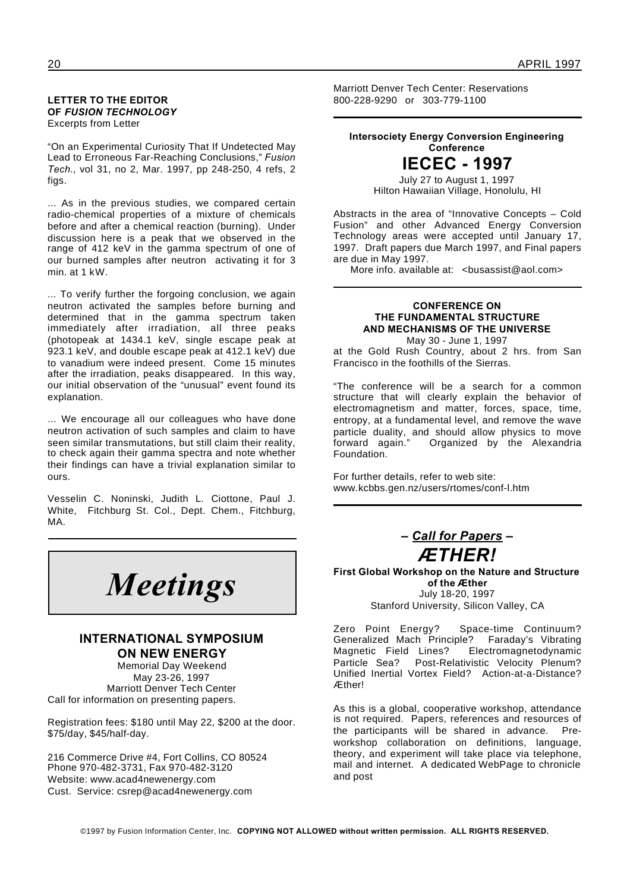### **LETTER TO THE EDITOR OF** *FUSION TECHNOLOGY* Excerpts from Letter

"On an Experimental Curiosity That If Undetected May Lead to Erroneous Far-Reaching Conclusions," *Fusion Tech.*, vol 31, no 2, Mar. 1997, pp 248-250, 4 refs, 2 figs.

... As in the previous studies, we compared certain radio-chemical properties of a mixture of chemicals before and after a chemical reaction (burning). Under discussion here is a peak that we observed in the range of 412 keV in the gamma spectrum of one of our burned samples after neutron activating it for 3 min. at 1 kW.

... To verify further the forgoing conclusion, we again neutron activated the samples before burning and determined that in the gamma spectrum taken immediately after irradiation, all three peaks (photopeak at 1434.1 keV, single escape peak at 923.1 keV, and double escape peak at 412.1 keV) due to vanadium were indeed present. Come 15 minutes after the irradiation, peaks disappeared. In this way, our initial observation of the "unusual" event found its explanation.

... We encourage all our colleagues who have done neutron activation of such samples and claim to have seen similar transmutations, but still claim their reality, to check again their gamma spectra and note whether their findings can have a trivial explanation similar to ours.

Vesselin C. Noninski, Judith L. Ciottone, Paul J. White, Fitchburg St. Col., Dept. Chem., Fitchburg, MA.

*Meetings*

# **INTERNATIONAL SYMPOSIUM ON NEW ENERGY**

Memorial Day Weekend May 23-26, 1997 Marriott Denver Tech Center Call for information on presenting papers.

Registration fees: \$180 until May 22, \$200 at the door. \$75/day, \$45/half-day.

216 Commerce Drive #4, Fort Collins, CO 80524 Phone 970-482-3731, Fax 970-482-3120 Website: www.acad4newenergy.com Cust. Service: csrep@acad4newenergy.com

Marriott Denver Tech Center: Reservations 800-228-9290 or 303-779-1100

# **Intersociety Energy Conversion Engineering Conference**

**IECEC - 1997** July 27 to August 1, 1997

Hilton Hawaiian Village, Honolulu, HI

Abstracts in the area of "Innovative Concepts – Cold Fusion" and other Advanced Energy Conversion Technology areas were accepted until January 17, 1997. Draft papers due March 1997, and Final papers are due in May 1997.

More info. available at: <busassist@aol.com>

# **CONFERENCE ON THE FUNDAMENTAL STRUCTURE AND MECHANISMS OF THE UNIVERSE** May 30 - June 1, 1997

at the Gold Rush Country, about 2 hrs. from San Francisco in the foothills of the Sierras.

"The conference will be a search for a common structure that will clearly explain the behavior of electromagnetism and matter, forces, space, time, entropy, at a fundamental level, and remove the wave particle duality, and should allow physics to move forward again." Organized by the Alexandria Foundation.

For further details, refer to web site: www.kcbbs.gen.nz/users/rtomes/conf-l.htm



**First Global Workshop on the Nature and Structure of the Æther** July 18-20, 1997 Stanford University, Silicon Valley, CA

Zero Point Energy? Space-time Continuum? Generalized Mach Principle? Faraday's Vibrating Magnetic Field Lines? Electromagnetodynamic Particle Sea? Post-Relativistic Velocity Plenum? Unified Inertial Vortex Field? Action-at-a-Distance? Æther!

As this is a global, cooperative workshop, attendance is not required. Papers, references and resources of the participants will be shared in advance. Preworkshop collaboration on definitions, language, theory, and experiment will take place via telephone, mail and internet. A dedicated WebPage to chronicle and post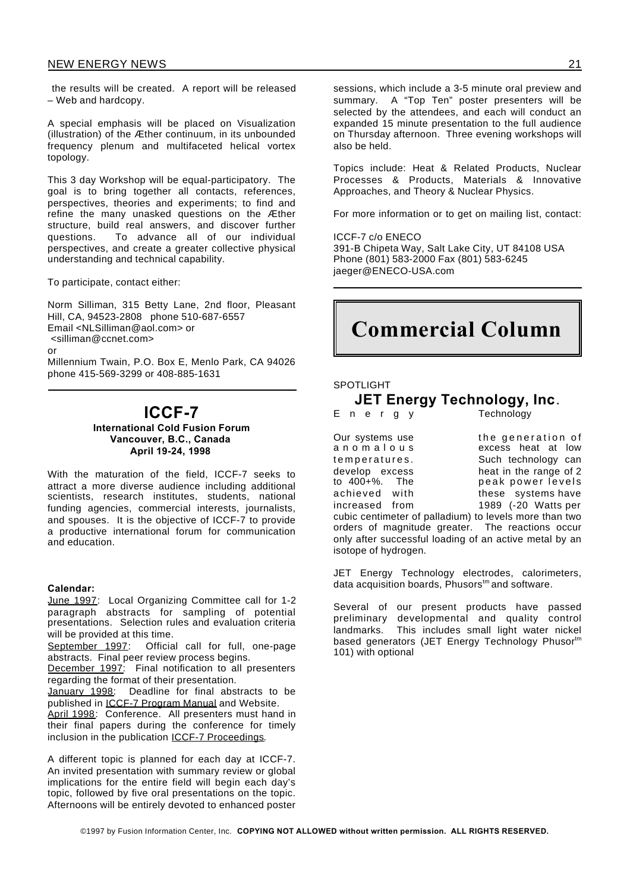the results will be created. A report will be released – Web and hardcopy.

A special emphasis will be placed on Visualization (illustration) of the Æther continuum, in its unbounded frequency plenum and multifaceted helical vortex topology.

This 3 day Workshop will be equal-participatory. The goal is to bring together all contacts, references, perspectives, theories and experiments; to find and refine the many unasked questions on the Æther structure, build real answers, and discover further questions. To advance all of our individual perspectives, and create a greater collective physical understanding and technical capability.

To participate, contact either:

Norm Silliman, 315 Betty Lane, 2nd floor, Pleasant Hill, CA, 94523-2808 phone 510-687-6557 Email <NLSilliman@aol.com> or <silliman@ccnet.com> or Millennium Twain, P.O. Box E, Menlo Park, CA 94026 phone 415-569-3299 or 408-885-1631

# **ICCF-7**

**International Cold Fusion Forum Vancouver, B.C., Canada April 19-24, 1998**

With the maturation of the field, ICCF-7 seeks to attract a more diverse audience including additional scientists, research institutes, students, national funding agencies, commercial interests, journalists, and spouses. It is the objective of ICCF-7 to provide a productive international forum for communication and education.

# **Calendar:**

June 1997: Local Organizing Committee call for 1-2 paragraph abstracts for sampling of potential presentations. Selection rules and evaluation criteria will be provided at this time.

September 1997: Official call for full, one-page abstracts. Final peer review process begins.

December 1997: Final notification to all presenters regarding the format of their presentation.

January 1998: Deadline for final abstracts to be published in ICCF-7 Program Manual and Website.

April 1998: Conference. All presenters must hand in their final papers during the conference for timely inclusion in the publication ICCF-7 Proceedings.

A different topic is planned for each day at ICCF-7. An invited presentation with summary review or global implications for the entire field will begin each day's topic, followed by five oral presentations on the topic. Afternoons will be entirely devoted to enhanced poster

sessions, which include a 3-5 minute oral preview and summary. A "Top Ten" poster presenters will be selected by the attendees, and each will conduct an expanded 15 minute presentation to the full audience on Thursday afternoon. Three evening workshops will also be held.

Topics include: Heat & Related Products, Nuclear Processes & Products, Materials & Innovative Approaches, and Theory & Nuclear Physics.

For more information or to get on mailing list, contact:

ICCF-7 c/o ENECO 391-B Chipeta Way, Salt Lake City, UT 84108 USA Phone (801) 583-2000 Fax (801) 583-6245 jaeger@ENECO-USA.com

# **Commercial Column**

#### SPOTLIGHT

# **JET Energy Technology, Inc**.

E n e r q y Technology

Our systems use the generation of<br>anomalous excess heat at low excess heat at low temperatures. Such technology can develop excess heat in the range of 2<br>to 400+%. The peak power levels to 400+%. The peak power levels<br>achieved with these systems have<br>increased from 1989 (-20 Watts per achieved with these systems have increased from 1989 (-20 Watts per

cubic centimeter of palladium) to levels more than two orders of magnitude greater. The reactions occur only after successful loading of an active metal by an isotope of hydrogen.

JET Energy Technology electrodes, calorimeters, data acquisition boards, Phusors<sup>tm</sup> and software.

Several of our present products have passed preliminary developmental and quality control landmarks. This includes small light water nickel based generators (JET Energy Technology Phusortm 101) with optional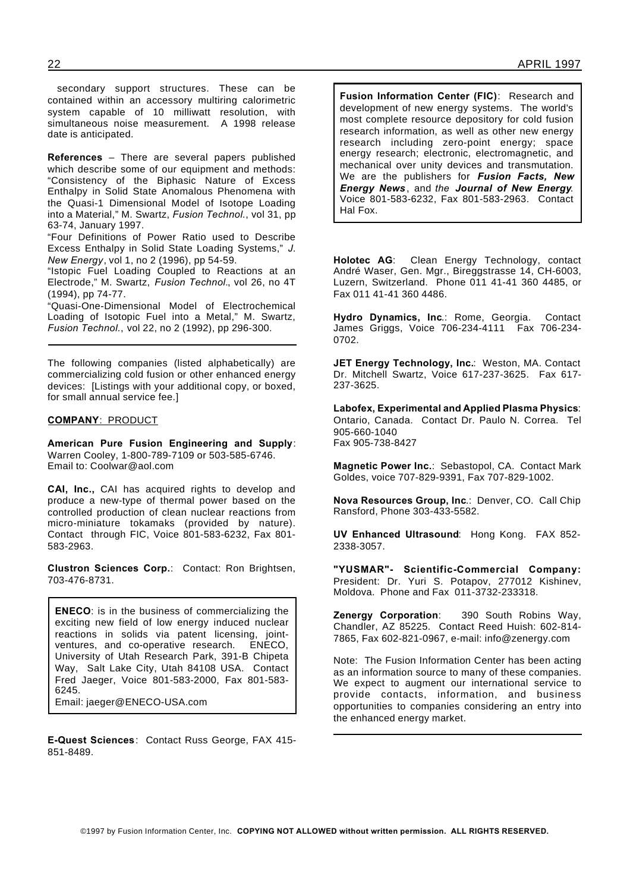secondary support structures. These can be contained within an accessory multiring calorimetric system capable of 10 milliwatt resolution, with simultaneous noise measurement. A 1998 release date is anticipated.

**References** – There are several papers published which describe some of our equipment and methods: "Consistency of the Biphasic Nature of Excess Enthalpy in Solid State Anomalous Phenomena with the Quasi-1 Dimensional Model of Isotope Loading into a Material," M. Swartz, *Fusion Technol.*, vol 31, pp 63-74, January 1997.

"Four Definitions of Power Ratio used to Describe Excess Enthalpy in Solid State Loading Systems," *J. New Energy*, vol 1, no 2 (1996), pp 54-59.

"Istopic Fuel Loading Coupled to Reactions at an Electrode," M. Swartz, *Fusion Technol.*, vol 26, no 4T (1994), pp 74-77.

"Quasi-One-Dimensional Model of Electrochemical Loading of Isotopic Fuel into a Metal," M. Swartz, *Fusion Technol.*, vol 22, no 2 (1992), pp 296-300.

The following companies (listed alphabetically) are commercializing cold fusion or other enhanced energy devices: [Listings with your additional copy, or boxed, for small annual service fee.]

#### **COMPANY**: PRODUCT

**American Pure Fusion Engineering and Supply**: Warren Cooley, 1-800-789-7109 or 503-585-6746. Email to: Coolwar@aol.com

**CAI, Inc.,** CAI has acquired rights to develop and produce a new-type of thermal power based on the controlled production of clean nuclear reactions from micro-miniature tokamaks (provided by nature). Contact through FIC, Voice 801-583-6232, Fax 801- 583-2963.

**Clustron Sciences Corp.**: Contact: Ron Brightsen, 703-476-8731.

**ENECO**: is in the business of commercializing the exciting new field of low energy induced nuclear reactions in solids via patent licensing, joint-<br>ventures, and co-operative research. ENECO, ventures, and co-operative research. University of Utah Research Park, 391-B Chipeta Way, Salt Lake City, Utah 84108 USA. Contact Fred Jaeger, Voice 801-583-2000, Fax 801-583- 6245.

Email: jaeger@ENECO-USA.com

**E-Quest Sciences**: Contact Russ George, FAX 415- 851-8489.

**Fusion Information Center (FIC)**: Research and development of new energy systems. The world's most complete resource depository for cold fusion research information, as well as other new energy research including zero-point energy; space energy research; electronic, electromagnetic, and mechanical over unity devices and transmutation. We are the publishers for *Fusion Facts, New Energy News* , and *the Journal of New Energy.* Voice 801-583-6232, Fax 801-583-2963. Contact Hal Fox.

**Holotec AG**: Clean Energy Technology, contact André Waser, Gen. Mgr., Bireggstrasse 14, CH-6003, Luzern, Switzerland. Phone 011 41-41 360 4485, or Fax 011 41-41 360 4486.

**Hydro Dynamics, Inc**.: Rome, Georgia. Contact James Griggs, Voice 706-234-4111 Fax 706-234- 0702.

**JET Energy Technology, Inc.**: Weston, MA. Contact Dr. Mitchell Swartz, Voice 617-237-3625. Fax 617- 237-3625.

**Labofex, Experimental and Applied Plasma Physics**: Ontario, Canada. Contact Dr. Paulo N. Correa. Tel 905-660-1040 Fax 905-738-8427

**Magnetic Power Inc.**: Sebastopol, CA. Contact Mark Goldes, voice 707-829-9391, Fax 707-829-1002.

**Nova Resources Group, Inc**.: Denver, CO. Call Chip Ransford, Phone 303-433-5582.

**UV Enhanced Ultrasound**: Hong Kong. FAX 852- 2338-3057.

**"YUSMAR"- Scientific-Commercial Company:** President: Dr. Yuri S. Potapov, 277012 Kishinev, Moldova. Phone and Fax 011-3732-233318.

**Zenergy Corporation**: 390 South Robins Way, Chandler, AZ 85225. Contact Reed Huish: 602-814- 7865, Fax 602-821-0967, e-mail: info@zenergy.com

Note: The Fusion Information Center has been acting as an information source to many of these companies. We expect to augment our international service to provide contacts, information, and business opportunities to companies considering an entry into the enhanced energy market.